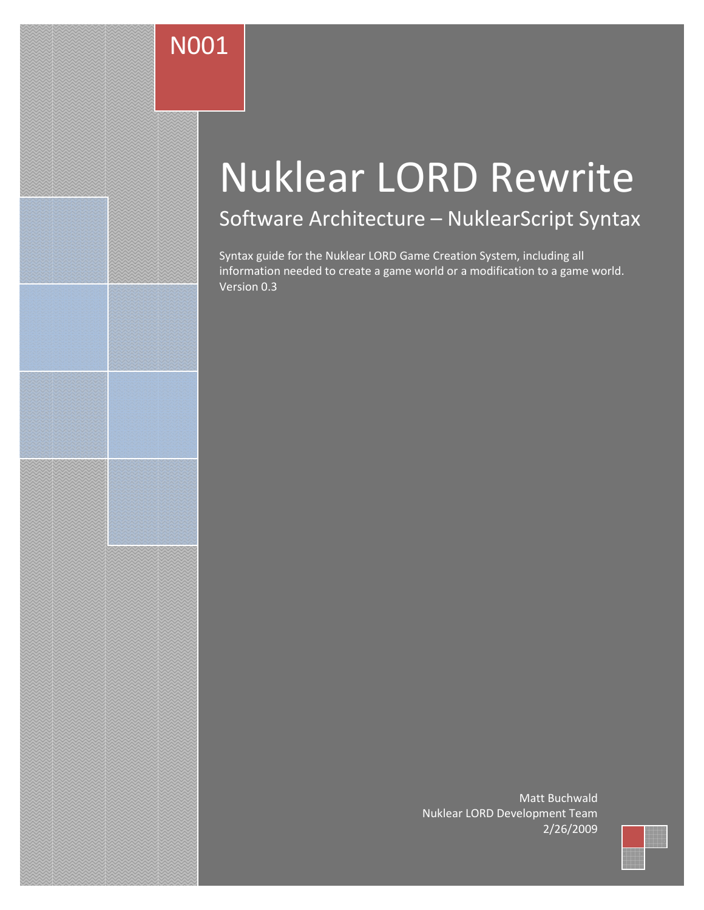# N001

# Nuklear LORD Rewrite

# Software Architecture – NuklearScript Syntax

Syntax guide for the Nuklear LORD Game Creation System, including all information needed to create a game world or a modification to a game world. Version 0.3

> Matt Buchwald Nuklear LORD Development Team 2/26/2009

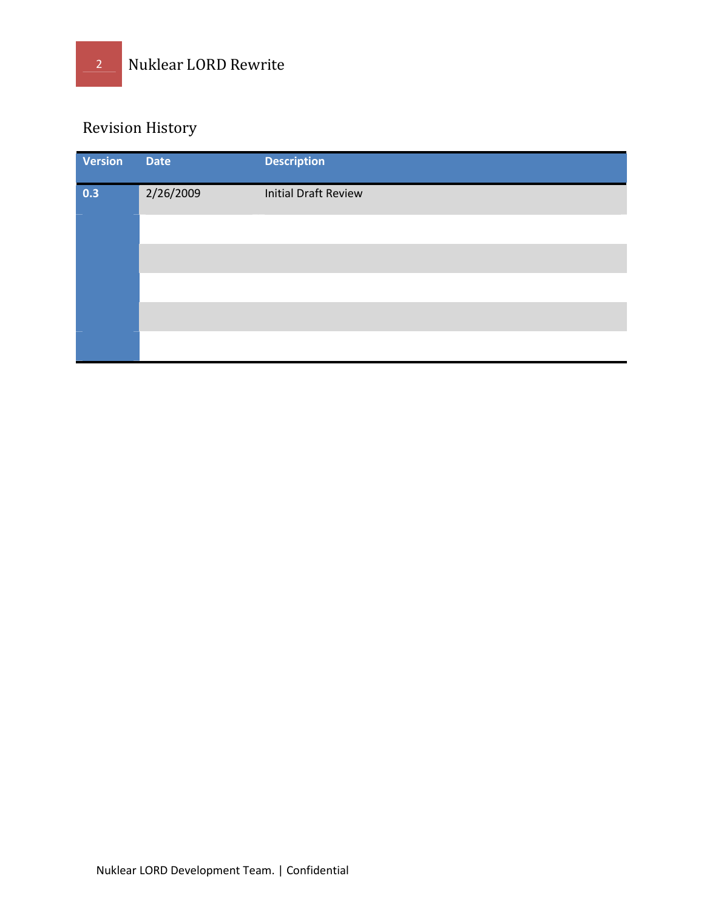### Revision History

| Version | <b>Date</b> | <b>Description</b>          |
|---------|-------------|-----------------------------|
| 0.3     | 2/26/2009   | <b>Initial Draft Review</b> |
|         |             |                             |
|         |             |                             |
|         |             |                             |
|         |             |                             |
|         |             |                             |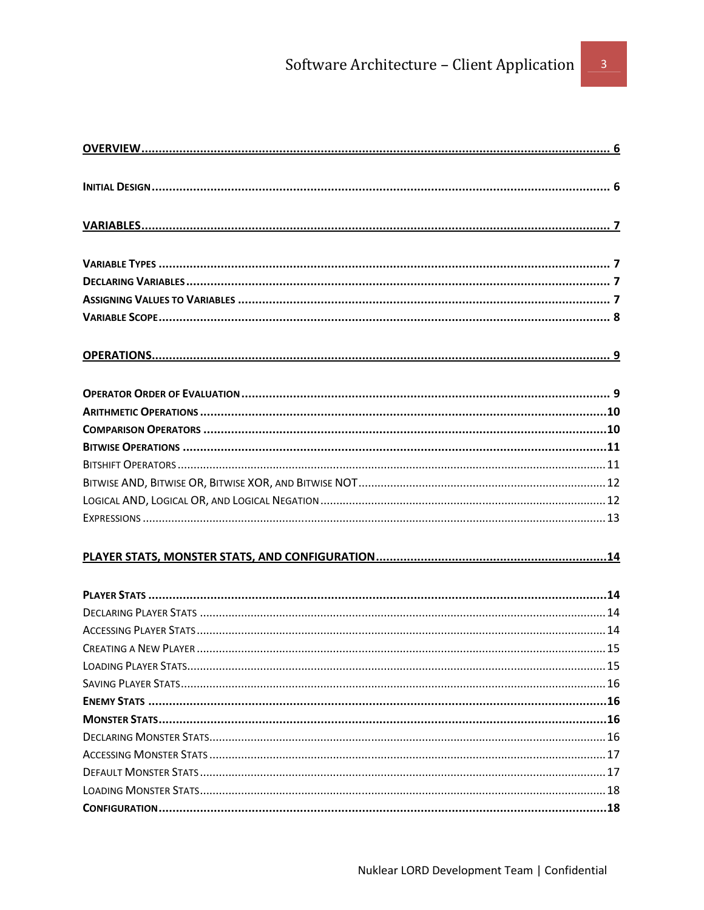# Software Architecture - Client Application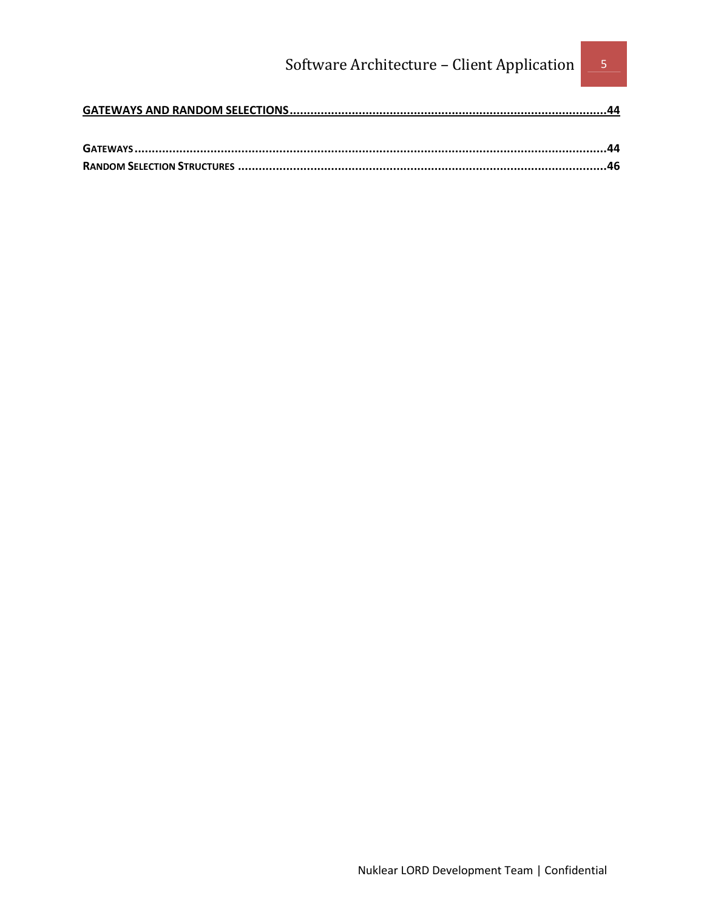## Software Architecture - Client Application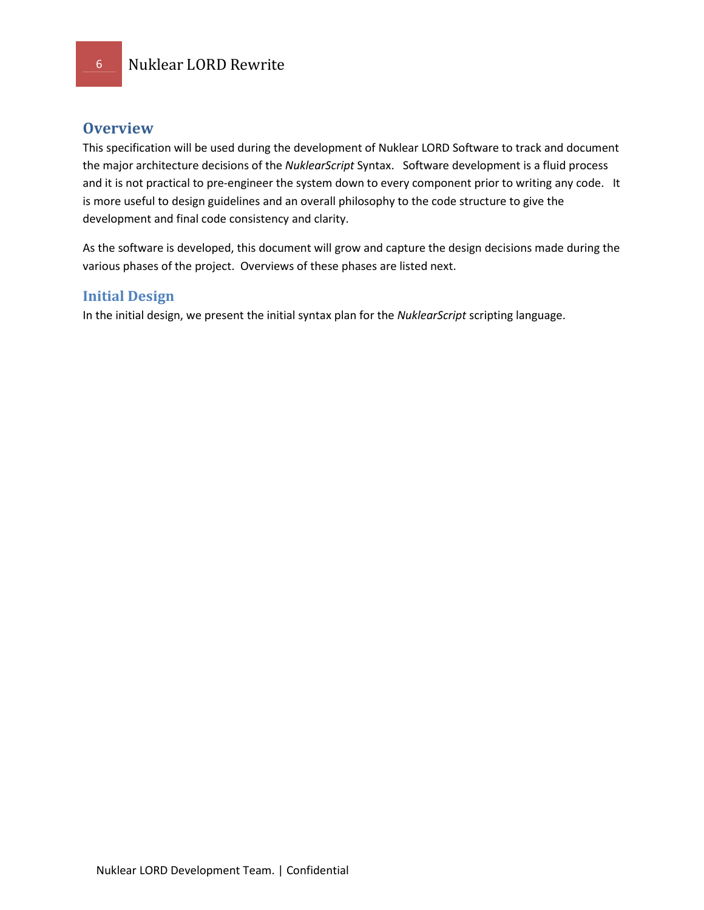### **Overview**

This specification will be used during the development of Nuklear LORD Software to track and document the major architecture decisions of the NuklearScript Syntax. Software development is a fluid process and it is not practical to pre-engineer the system down to every component prior to writing any code. It is more useful to design guidelines and an overall philosophy to the code structure to give the development and final code consistency and clarity.

As the software is developed, this document will grow and capture the design decisions made during the various phases of the project. Overviews of these phases are listed next.

### Initial Design

In the initial design, we present the initial syntax plan for the NuklearScript scripting language.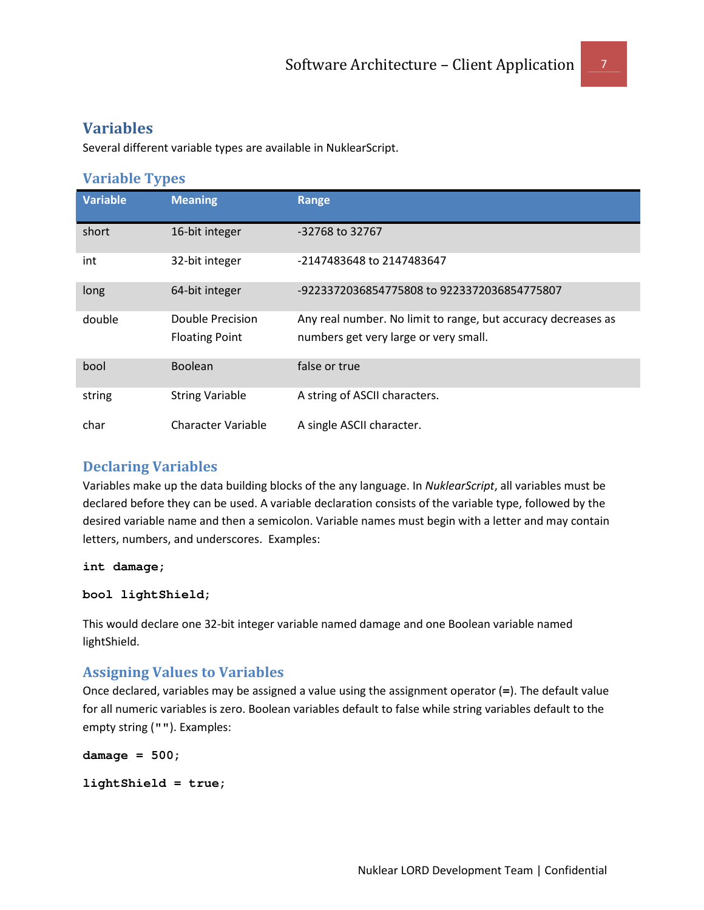### Variables

Several different variable types are available in NuklearScript.

### Variable Types

| <b>Variable</b> | <b>Meaning</b>                            | <b>Range</b>                                                                                           |
|-----------------|-------------------------------------------|--------------------------------------------------------------------------------------------------------|
| short           | 16-bit integer                            | -32768 to 32767                                                                                        |
| int             | 32-bit integer                            | -2147483648 to 2147483647                                                                              |
| long            | 64-bit integer                            | -9223372036854775808 to 9223372036854775807                                                            |
| double          | Double Precision<br><b>Floating Point</b> | Any real number. No limit to range, but accuracy decreases as<br>numbers get very large or very small. |
| bool            | <b>Boolean</b>                            | false or true                                                                                          |
| string          | <b>String Variable</b>                    | A string of ASCII characters.                                                                          |
| char            | <b>Character Variable</b>                 | A single ASCII character.                                                                              |

### Declaring Variables

Variables make up the data building blocks of the any language. In NuklearScript, all variables must be declared before they can be used. A variable declaration consists of the variable type, followed by the desired variable name and then a semicolon. Variable names must begin with a letter and may contain letters, numbers, and underscores. Examples:

**int damage;** 

```
bool lightShield;
```
This would declare one 32-bit integer variable named damage and one Boolean variable named lightShield.

### Assigning Values to Variables

Once declared, variables may be assigned a value using the assignment operator (**=**). The default value for all numeric variables is zero. Boolean variables default to false while string variables default to the empty string (**""**). Examples:

```
damage = 500;
```

```
lightShield = true;
```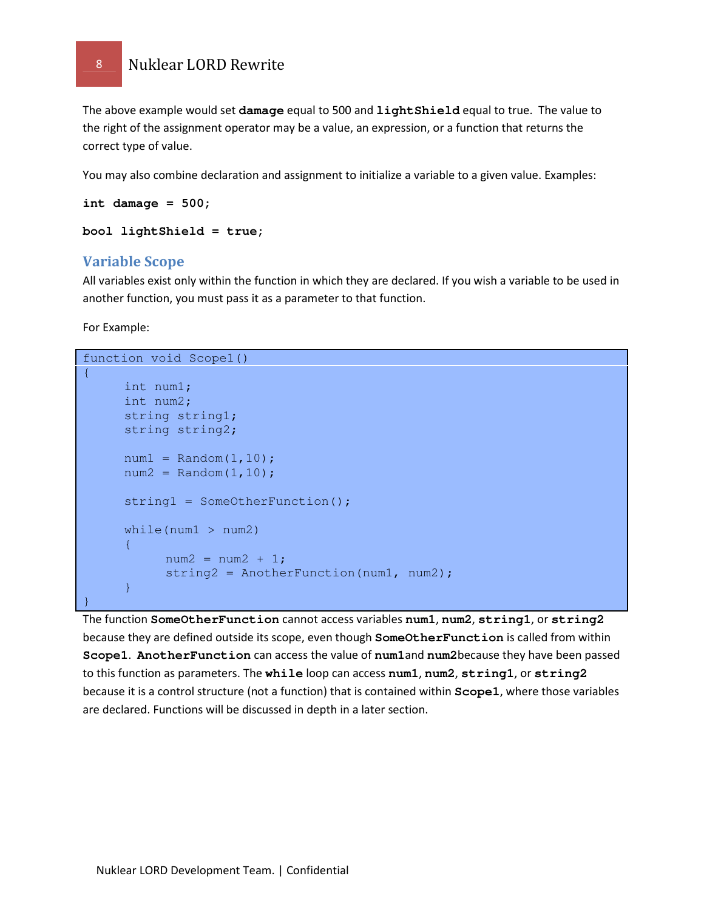The above example would set **damage** equal to 500 and **lightShield** equal to true. The value to the right of the assignment operator may be a value, an expression, or a function that returns the correct type of value.

You may also combine declaration and assignment to initialize a variable to a given value. Examples:

```
int damage = 500;
```

```
bool lightShield = true;
```
### Variable Scope

All variables exist only within the function in which they are declared. If you wish a variable to be used in another function, you must pass it as a parameter to that function.

For Example:

```
function void Scope1() 
{ 
      int num1; 
      int num2; 
     string string1; 
     string string2; 
     num1 = Random(1, 10);num2 = Random(1,10);string1 = SomeOtherFunction();
     while(num1 > num2) 
     { 
           num2 = num2 + 1;string2 = AnotherFunction(num1, num2);
     } 
}
```
The function **SomeOtherFunction** cannot access variables **num1**, **num2**, **string1**, or **string2** because they are defined outside its scope, even though **SomeOtherFunction** is called from within **Scope1**. **AnotherFunction** can access the value of **num1**and **num2**because they have been passed to this function as parameters. The **while** loop can access **num1**, **num2**, **string1**, or **string2** because it is a control structure (not a function) that is contained within **Scope1**, where those variables are declared. Functions will be discussed in depth in a later section.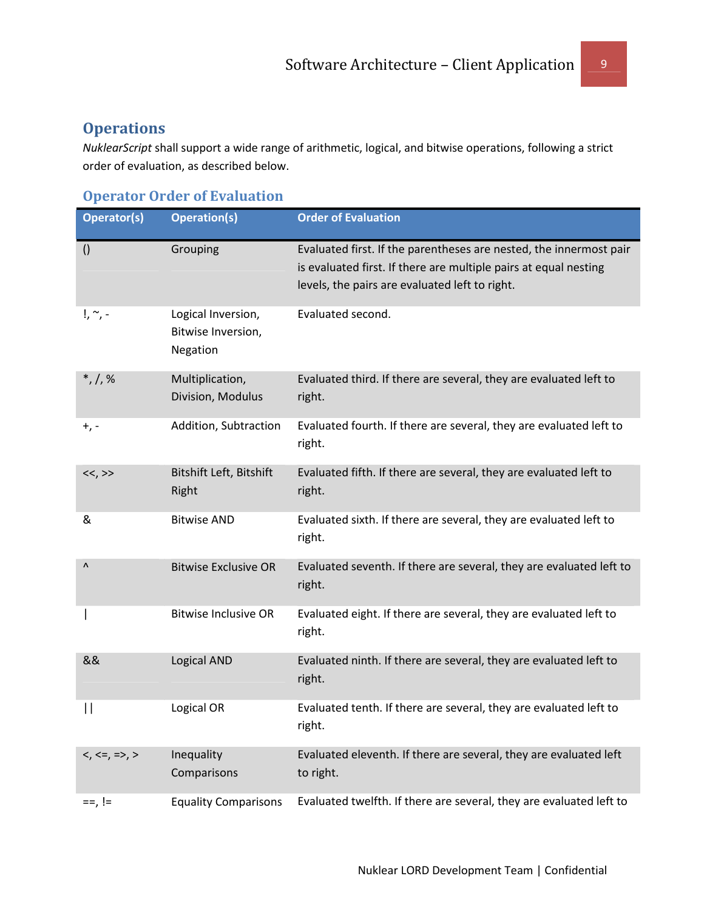### **Operations**

NuklearScript shall support a wide range of arithmetic, logical, and bitwise operations, following a strict order of evaluation, as described below.

### Operator Order of Evaluation

| Operator(s)            | <b>Operation(s)</b>                                  | <b>Order of Evaluation</b>                                                                                                                                                               |
|------------------------|------------------------------------------------------|------------------------------------------------------------------------------------------------------------------------------------------------------------------------------------------|
| $\left( \right)$       | Grouping                                             | Evaluated first. If the parentheses are nested, the innermost pair<br>is evaluated first. If there are multiple pairs at equal nesting<br>levels, the pairs are evaluated left to right. |
| $!, \sim$ , -          | Logical Inversion,<br>Bitwise Inversion,<br>Negation | Evaluated second.                                                                                                                                                                        |
| $*, /, \%$             | Multiplication,<br>Division, Modulus                 | Evaluated third. If there are several, they are evaluated left to<br>right.                                                                                                              |
| $+$ , -                | Addition, Subtraction                                | Evaluated fourth. If there are several, they are evaluated left to<br>right.                                                                                                             |
| <<,>>                  | Bitshift Left, Bitshift<br>Right                     | Evaluated fifth. If there are several, they are evaluated left to<br>right.                                                                                                              |
| &                      | <b>Bitwise AND</b>                                   | Evaluated sixth. If there are several, they are evaluated left to<br>right.                                                                                                              |
| $\boldsymbol{\Lambda}$ | <b>Bitwise Exclusive OR</b>                          | Evaluated seventh. If there are several, they are evaluated left to<br>right.                                                                                                            |
|                        | <b>Bitwise Inclusive OR</b>                          | Evaluated eight. If there are several, they are evaluated left to<br>right.                                                                                                              |
| &&                     | Logical AND                                          | Evaluated ninth. If there are several, they are evaluated left to<br>right.                                                                                                              |
| Н                      | Logical OR                                           | Evaluated tenth. If there are several, they are evaluated left to<br>right.                                                                                                              |
| $<, <=, =>, >$         | Inequality<br>Comparisons                            | Evaluated eleventh. If there are several, they are evaluated left<br>to right.                                                                                                           |
| $==, !=$               | <b>Equality Comparisons</b>                          | Evaluated twelfth. If there are several, they are evaluated left to                                                                                                                      |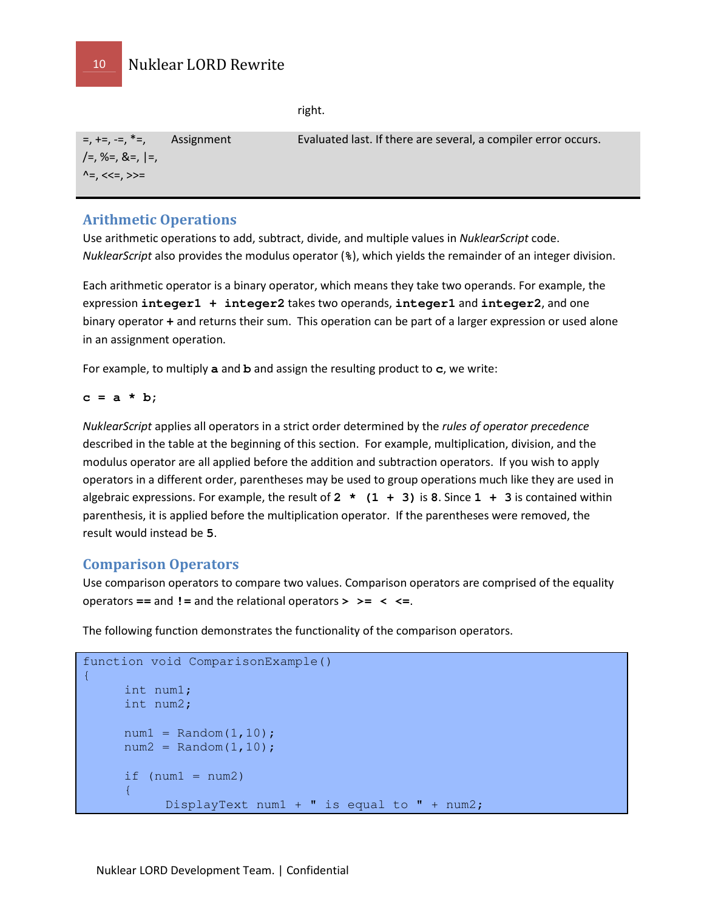right.

| $=$ , $+=$ , $=$ , $*=$ , Assignment | Evaluated last. If there are several, a compiler error occurs. |
|--------------------------------------|----------------------------------------------------------------|
| $\left[-, $ %=, &=, $\right]$ =,     |                                                                |
| ^=, <<=, >>=                         |                                                                |

### Arithmetic Operations

Use arithmetic operations to add, subtract, divide, and multiple values in NuklearScript code. NuklearScript also provides the modulus operator (**%**), which yields the remainder of an integer division.

Each arithmetic operator is a binary operator, which means they take two operands. For example, the expression **integer1 + integer2** takes two operands, **integer1** and **integer2**, and one binary operator **+** and returns their sum. This operation can be part of a larger expression or used alone in an assignment operation.

For example, to multiply **a** and **b** and assign the resulting product to **c**, we write:

**c = a \* b;** 

NuklearScript applies all operators in a strict order determined by the rules of operator precedence described in the table at the beginning of this section. For example, multiplication, division, and the modulus operator are all applied before the addition and subtraction operators. If you wish to apply operators in a different order, parentheses may be used to group operations much like they are used in algebraic expressions. For example, the result of **2 \* (1 + 3)** is **8**. Since **1 + 3** is contained within parenthesis, it is applied before the multiplication operator. If the parentheses were removed, the result would instead be **5**.

### Comparison Operators

Use comparison operators to compare two values. Comparison operators are comprised of the equality operators **==** and **!=** and the relational operators **> >= < <=**.

The following function demonstrates the functionality of the comparison operators.

```
function void ComparisonExample() 
{ 
      int num1; 
      int num2; 
     num1 = Random(1,10);num2 = Random(1,10);if (num1 = num2) { 
           DisplayText num1 + " is equal to " + num2;
```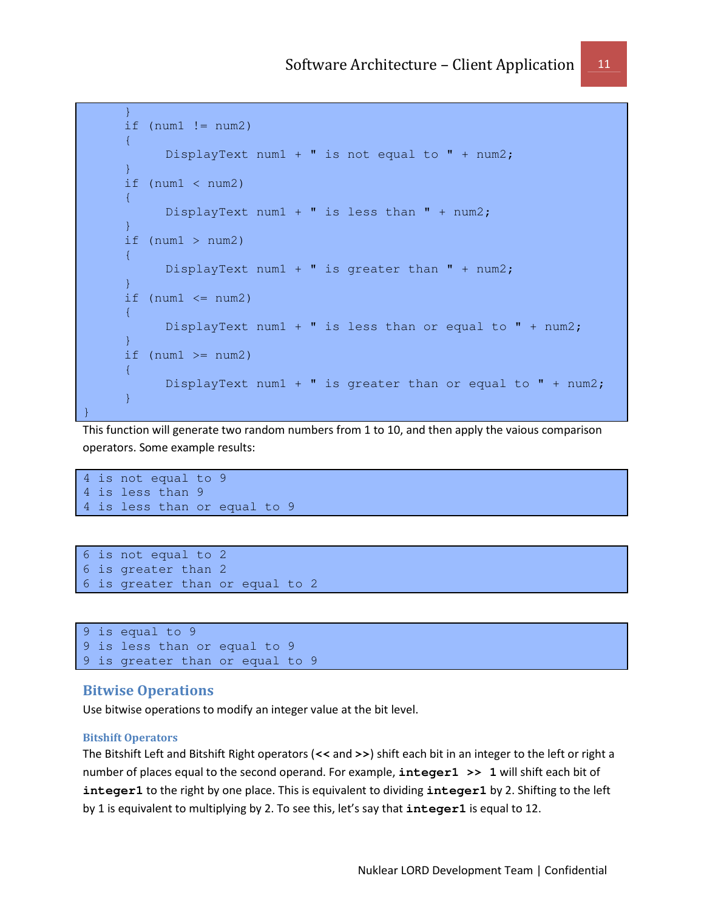```
 } 
        if (num1 != num2)\left\{ \begin{array}{cc} 0 & 0 \\ 0 & 0 \end{array} \right\} DisplayText num1 + " is not equal to " + num2; 
 } 
         if (num1 < num2) 
         { 
                DisplayText num1 + " is less than " + num2;
 } 
        if (num1 > num2)\left\{ \begin{array}{cc} 0 & 0 & 0 \\ 0 & 0 & 0 \end{array} \right\} DisplayText num1 + " is greater than " + num2; 
 } 
        if (num1 \leq num2)
\left\{ \begin{array}{cc} 0 & 0 & 0 \\ 0 & 0 & 0 \end{array} \right\}DisplayText num1 + " is less than or equal to " + num2;
 } 
        if (num1 \geq num2)\left\{ \begin{array}{cc} 0 & 0 & 0 \\ 0 & 0 & 0 \end{array} \right\}DisplayText num1 + " is greater than or equal to " + num2;
         } 
}
```
This function will generate two random numbers from 1 to 10, and then apply the vaious comparison operators. Some example results:

```
4 is not equal to 9 
4 is less than 9 
4 is less than or equal to 9
```

```
6 is not equal to 2 
6 is greater than 2 
6 is greater than or equal to 2
```

```
9 is equal to 9 
9 is less than or equal to 9 
9 is greater than or equal to 9
```
### Bitwise Operations

Use bitwise operations to modify an integer value at the bit level.

#### Bitshift Operators

The Bitshift Left and Bitshift Right operators (**<<** and **>>**) shift each bit in an integer to the left or right a number of places equal to the second operand. For example, **integer1 >> 1** will shift each bit of **integer1** to the right by one place. This is equivalent to dividing **integer1** by 2. Shifting to the left by 1 is equivalent to multiplying by 2. To see this, let's say that **integer1** is equal to 12.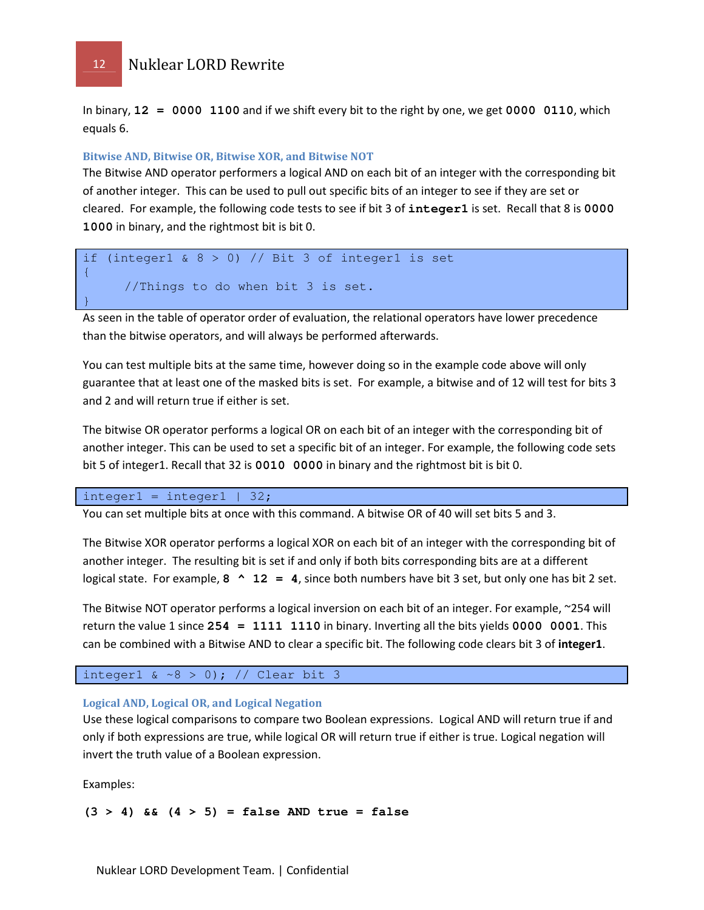In binary, **12 = 0000 1100** and if we shift every bit to the right by one, we get **0000 0110**, which equals 6.

#### Bitwise AND, Bitwise OR, Bitwise XOR, and Bitwise NOT

The Bitwise AND operator performers a logical AND on each bit of an integer with the corresponding bit of another integer. This can be used to pull out specific bits of an integer to see if they are set or cleared. For example, the following code tests to see if bit 3 of **integer1** is set. Recall that 8 is **0000 1000** in binary, and the rightmost bit is bit 0.

if (integer1 & 8 > 0) // Bit 3 of integer1 is set { //Things to do when bit 3 is set. }

As seen in the table of operator order of evaluation, the relational operators have lower precedence than the bitwise operators, and will always be performed afterwards.

You can test multiple bits at the same time, however doing so in the example code above will only guarantee that at least one of the masked bits is set. For example, a bitwise and of 12 will test for bits 3 and 2 and will return true if either is set.

The bitwise OR operator performs a logical OR on each bit of an integer with the corresponding bit of another integer. This can be used to set a specific bit of an integer. For example, the following code sets bit 5 of integer1. Recall that 32 is **0010 0000** in binary and the rightmost bit is bit 0.

 $integral = integral | 32;$ 

You can set multiple bits at once with this command. A bitwise OR of 40 will set bits 5 and 3.

The Bitwise XOR operator performs a logical XOR on each bit of an integer with the corresponding bit of another integer. The resulting bit is set if and only if both bits corresponding bits are at a different logical state. For example, **8 ^ 12 = 4**, since both numbers have bit 3 set, but only one has bit 2 set.

The Bitwise NOT operator performs a logical inversion on each bit of an integer. For example, ~254 will return the value 1 since **254 = 1111 1110** in binary. Inverting all the bits yields **0000 0001**. This can be combined with a Bitwise AND to clear a specific bit. The following code clears bit 3 of integer1.

integer1 &  $\sim8$  > 0); // Clear bit 3

#### Logical AND, Logical OR, and Logical Negation

Use these logical comparisons to compare two Boolean expressions. Logical AND will return true if and only if both expressions are true, while logical OR will return true if either is true. Logical negation will invert the truth value of a Boolean expression.

Examples:

**(3 > 4) && (4 > 5) = false AND true = false**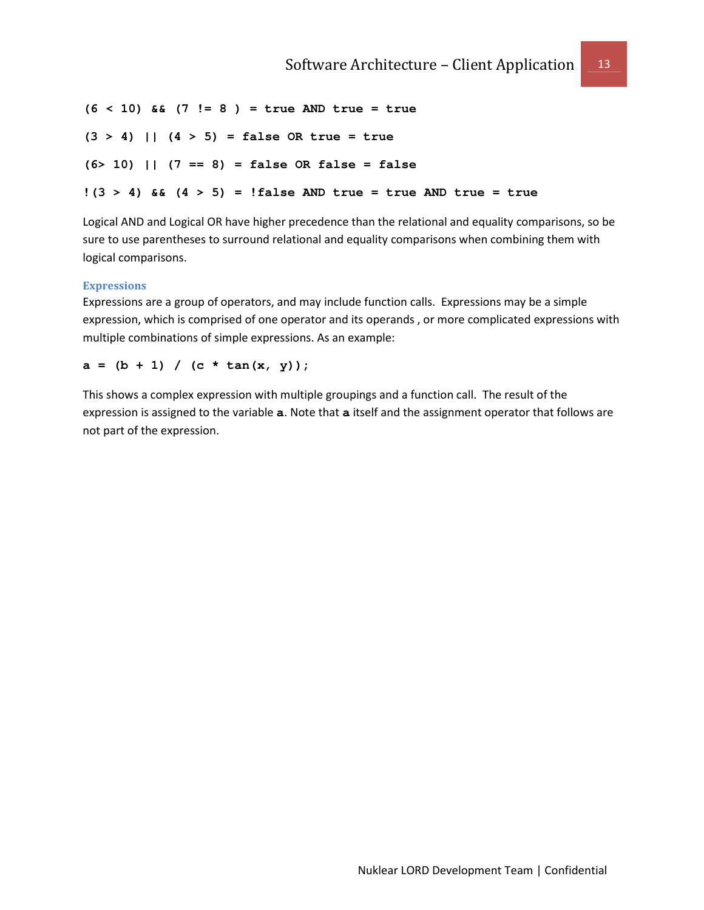**(6 < 10) && (7 != 8 ) = true AND true = true (3 > 4) || (4 > 5) = false OR true = true (6> 10) || (7 == 8) = false OR false = false !(3 > 4) && (4 > 5) = !false AND true = true AND true = true**

Logical AND and Logical OR have higher precedence than the relational and equality comparisons, so be sure to use parentheses to surround relational and equality comparisons when combining them with logical comparisons.

#### **Expressions**

Expressions are a group of operators, and may include function calls. Expressions may be a simple expression, which is comprised of one operator and its operands , or more complicated expressions with multiple combinations of simple expressions. As an example:

 $a = (b + 1) / (c * tan(x, y));$ 

This shows a complex expression with multiple groupings and a function call. The result of the expression is assigned to the variable **a**. Note that **a** itself and the assignment operator that follows are not part of the expression.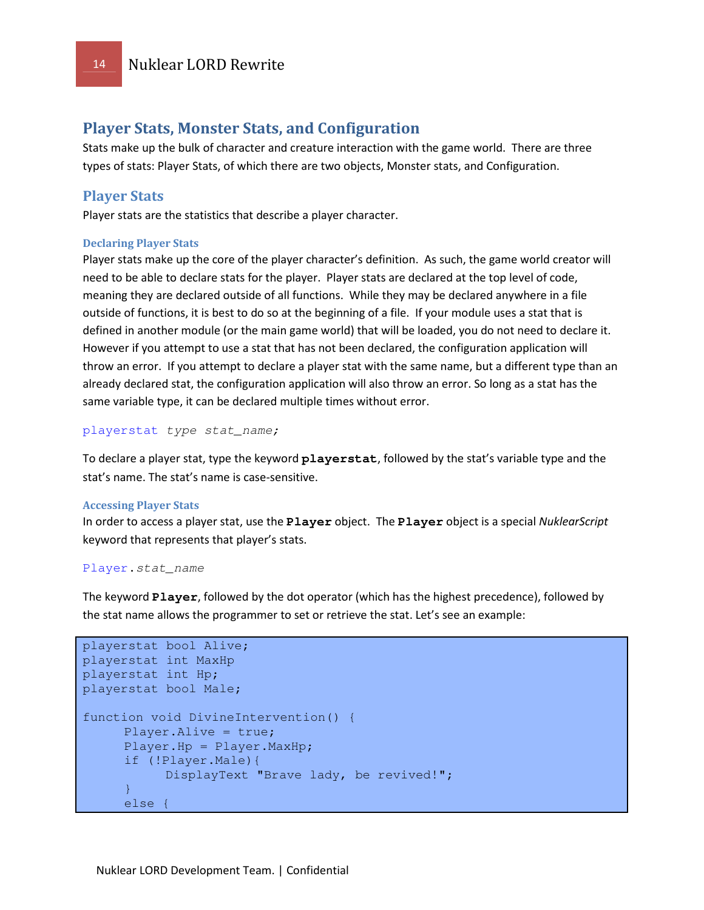### Player Stats, Monster Stats, and Configuration

Stats make up the bulk of character and creature interaction with the game world. There are three types of stats: Player Stats, of which there are two objects, Monster stats, and Configuration.

### Player Stats

Player stats are the statistics that describe a player character.

#### Declaring Player Stats

Player stats make up the core of the player character's definition. As such, the game world creator will need to be able to declare stats for the player. Player stats are declared at the top level of code, meaning they are declared outside of all functions. While they may be declared anywhere in a file outside of functions, it is best to do so at the beginning of a file. If your module uses a stat that is defined in another module (or the main game world) that will be loaded, you do not need to declare it. However if you attempt to use a stat that has not been declared, the configuration application will throw an error. If you attempt to declare a player stat with the same name, but a different type than an already declared stat, the configuration application will also throw an error. So long as a stat has the same variable type, it can be declared multiple times without error.

playerstat type stat\_name;

To declare a player stat, type the keyword **playerstat**, followed by the stat's variable type and the stat's name. The stat's name is case-sensitive.

#### Accessing Player Stats

In order to access a player stat, use the **Player** object. The **Player** object is a special NuklearScript keyword that represents that player's stats.

#### Player**.**stat\_name

The keyword **Player**, followed by the dot operator (which has the highest precedence), followed by the stat name allows the programmer to set or retrieve the stat. Let's see an example:

```
playerstat bool Alive; 
playerstat int MaxHp 
playerstat int Hp; 
playerstat bool Male; 
function void DivineIntervention() { 
     Player.Alive = true; 
     Player.Hp = Player.MaxHp; 
     if (!Player.Male){ 
            DisplayText "Brave lady, be revived!"; 
     } 
      else {
```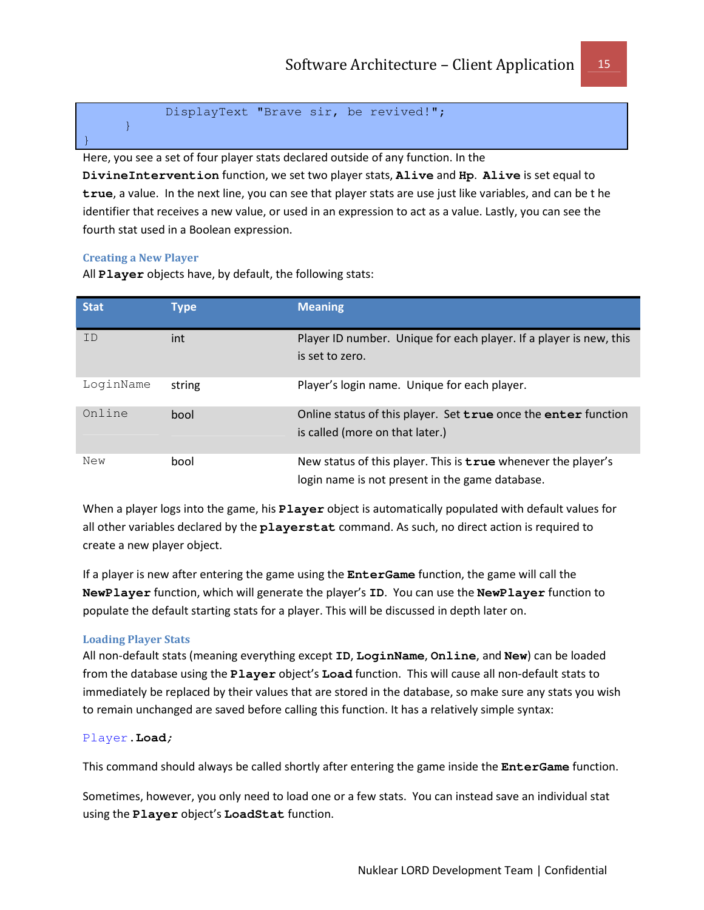```
 DisplayText "Brave sir, be revived!";
```
Here, you see a set of four player stats declared outside of any function. In the **DivineIntervention** function, we set two player stats, **Alive** and **Hp**. **Alive** is set equal to **true**, a value. In the next line, you can see that player stats are use just like variables, and can be t he identifier that receives a new value, or used in an expression to act as a value. Lastly, you can see the fourth stat used in a Boolean expression.

#### Creating a New Player

}

}

All **Player** objects have, by default, the following stats:

| <b>Stat</b> | <b>Type</b> | <b>Meaning</b>                                                                                                   |
|-------------|-------------|------------------------------------------------------------------------------------------------------------------|
| ID          | int         | Player ID number. Unique for each player. If a player is new, this<br>is set to zero.                            |
| LoginName   | string      | Player's login name. Unique for each player.                                                                     |
| Online      | bool        | Online status of this player. Set true once the enter function<br>is called (more on that later.)                |
| New         | bool        | New status of this player. This is true whenever the player's<br>login name is not present in the game database. |

When a player logs into the game, his **Player** object is automatically populated with default values for all other variables declared by the **playerstat** command. As such, no direct action is required to create a new player object.

If a player is new after entering the game using the **EnterGame** function, the game will call the **NewPlayer** function, which will generate the player's **ID**. You can use the **NewPlayer** function to populate the default starting stats for a player. This will be discussed in depth later on.

### Loading Player Stats

All non-default stats (meaning everything except **ID**, **LoginName**, **Online**, and **New**) can be loaded from the database using the **Player** object's **Load** function. This will cause all non-default stats to immediately be replaced by their values that are stored in the database, so make sure any stats you wish to remain unchanged are saved before calling this function. It has a relatively simple syntax:

#### Player**.Load**;

This command should always be called shortly after entering the game inside the **EnterGame** function.

Sometimes, however, you only need to load one or a few stats. You can instead save an individual stat using the **Player** object's **LoadStat** function.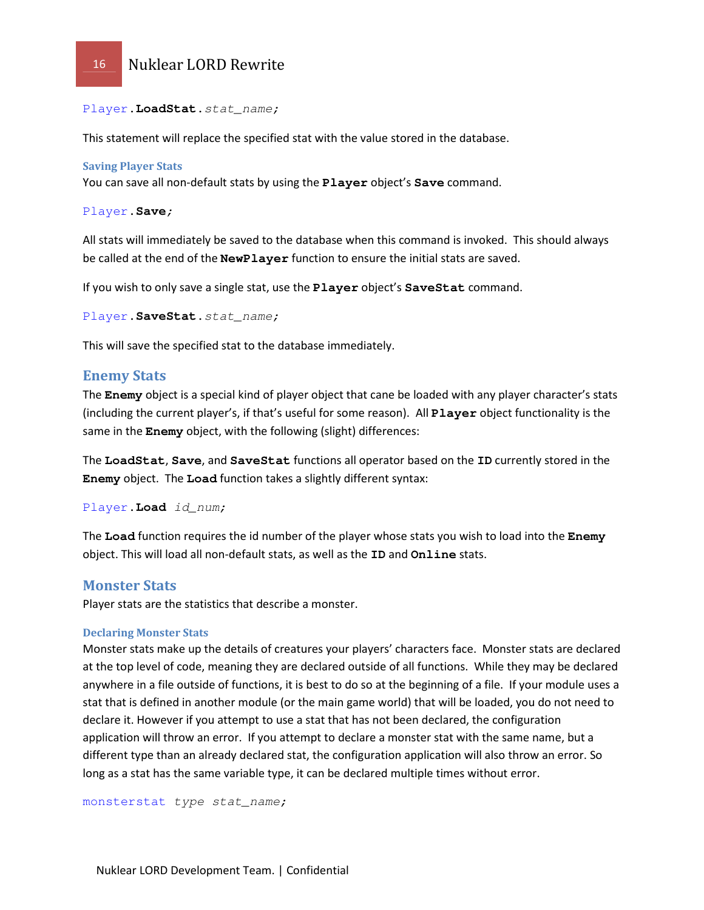

Player**.LoadStat.**stat\_name;

This statement will replace the specified stat with the value stored in the database.

#### Saving Player Stats

You can save all non-default stats by using the **Player** object's **Save** command.

Player**.Save**;

All stats will immediately be saved to the database when this command is invoked. This should always be called at the end of the **NewPlayer** function to ensure the initial stats are saved.

If you wish to only save a single stat, use the **Player** object's **SaveStat** command.

```
Player.SaveStat.stat_name;
```
This will save the specified stat to the database immediately.

#### Enemy Stats

The **Enemy** object is a special kind of player object that cane be loaded with any player character's stats (including the current player's, if that's useful for some reason). All **Player** object functionality is the same in the **Enemy** object, with the following (slight) differences:

The **LoadStat**, **Save**, and **SaveStat** functions all operator based on the **ID** currently stored in the **Enemy** object. The **Load** function takes a slightly different syntax:

Player**.Load** id\_num;

The **Load** function requires the id number of the player whose stats you wish to load into the **Enemy** object. This will load all non-default stats, as well as the **ID** and **Online** stats.

#### Monster Stats

Player stats are the statistics that describe a monster.

#### Declaring Monster Stats

Monster stats make up the details of creatures your players' characters face. Monster stats are declared at the top level of code, meaning they are declared outside of all functions. While they may be declared anywhere in a file outside of functions, it is best to do so at the beginning of a file. If your module uses a stat that is defined in another module (or the main game world) that will be loaded, you do not need to declare it. However if you attempt to use a stat that has not been declared, the configuration application will throw an error. If you attempt to declare a monster stat with the same name, but a different type than an already declared stat, the configuration application will also throw an error. So long as a stat has the same variable type, it can be declared multiple times without error.

monsterstat type stat\_name;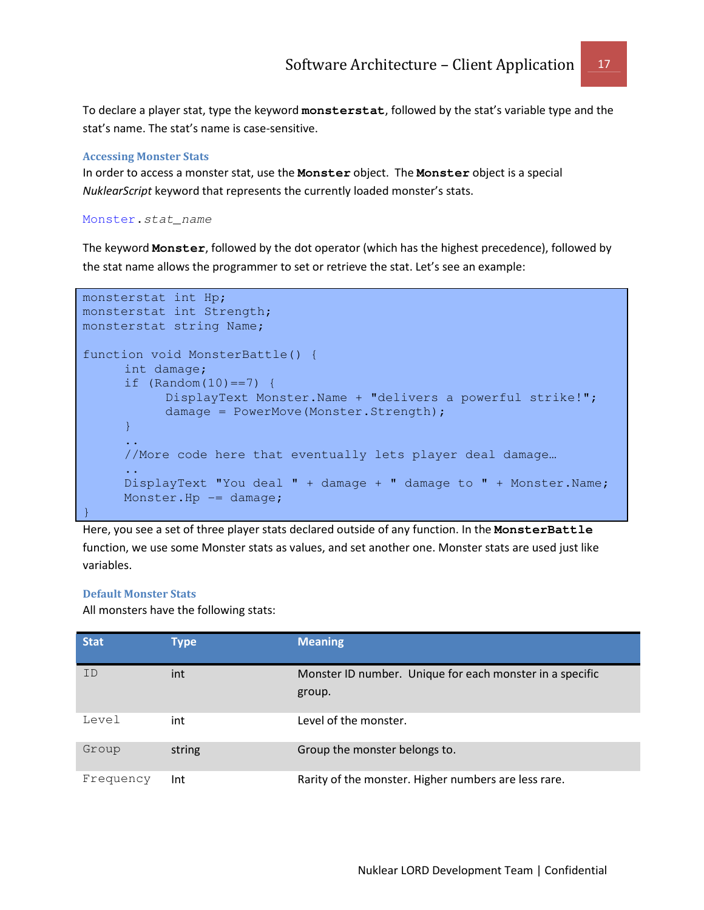To declare a player stat, type the keyword **monsterstat**, followed by the stat's variable type and the stat's name. The stat's name is case-sensitive.

#### Accessing Monster Stats

In order to access a monster stat, use the **Monster** object. The **Monster** object is a special NuklearScript keyword that represents the currently loaded monster's stats.

Monster**.**stat\_name

The keyword **Monster**, followed by the dot operator (which has the highest precedence), followed by the stat name allows the programmer to set or retrieve the stat. Let's see an example:

```
monsterstat int Hp; 
monsterstat int Strength; 
monsterstat string Name; 
function void MonsterBattle() { 
      int damage; 
     if (Random(10) == 7) {
            DisplayText Monster.Name + "delivers a powerful strike!"; 
            damage = PowerMove(Monster.Strength); 
     } 
      .. 
     //More code here that eventually lets player deal damage… 
      .. 
     DisplayText "You deal " + damage + " damage to " + Monster.Name; 
     Monster.Hp - damage;
}
```
Here, you see a set of three player stats declared outside of any function. In the **MonsterBattle** function, we use some Monster stats as values, and set another one. Monster stats are used just like variables.

#### Default Monster Stats

All monsters have the following stats:

| <b>Stat</b> | <b>Type</b> | <b>Meaning</b>                                                     |
|-------------|-------------|--------------------------------------------------------------------|
| ID          | int         | Monster ID number. Unique for each monster in a specific<br>group. |
| Level       | int         | Level of the monster.                                              |
| Group       | string      | Group the monster belongs to.                                      |
| Frequency   | Int         | Rarity of the monster. Higher numbers are less rare.               |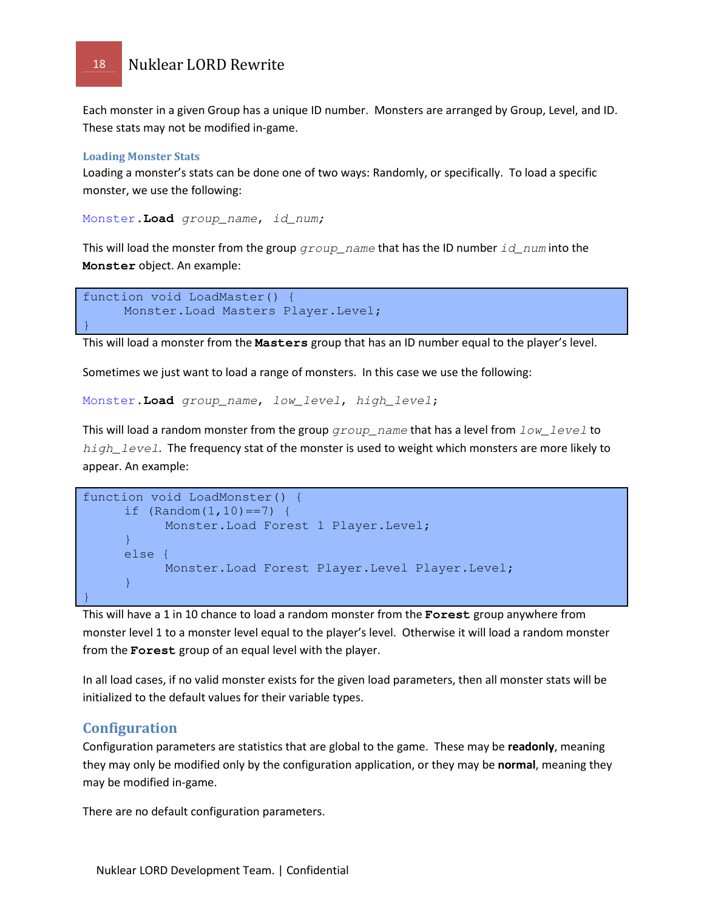Each monster in a given Group has a unique ID number. Monsters are arranged by Group, Level, and ID. These stats may not be modified in-game.

#### Loading Monster Stats

Loading a monster's stats can be done one of two ways: Randomly, or specifically. To load a specific monster, we use the following:

Monster**.Load** group\_name, id\_num;

This will load the monster from the group  $q$ roup name that has the ID number id num into the **Monster** object. An example:

```
function void LoadMaster() { 
     Monster.Load Masters Player.Level; 
}
```
This will load a monster from the **Masters** group that has an ID number equal to the player's level.

Sometimes we just want to load a range of monsters. In this case we use the following:

Monster**.Load** group\_name, low\_level, high\_level;

This will load a random monster from the group  $group\_name$  that has a level from  $low\_level$  to  $high\_level$ . The frequency stat of the monster is used to weight which monsters are more likely to appear. An example:

```
function void LoadMonster() { 
     if (Random(1,10) == 7) {
          Monster. Load Forest 1 Player. Level;
     } 
     else { 
           Monster.Load Forest Player.Level Player.Level; 
     } 
}
```
This will have a 1 in 10 chance to load a random monster from the **Forest** group anywhere from monster level 1 to a monster level equal to the player's level. Otherwise it will load a random monster from the **Forest** group of an equal level with the player.

In all load cases, if no valid monster exists for the given load parameters, then all monster stats will be initialized to the default values for their variable types.

#### **Configuration**

Configuration parameters are statistics that are global to the game. These may be readonly, meaning they may only be modified only by the configuration application, or they may be normal, meaning they may be modified in-game.

There are no default configuration parameters.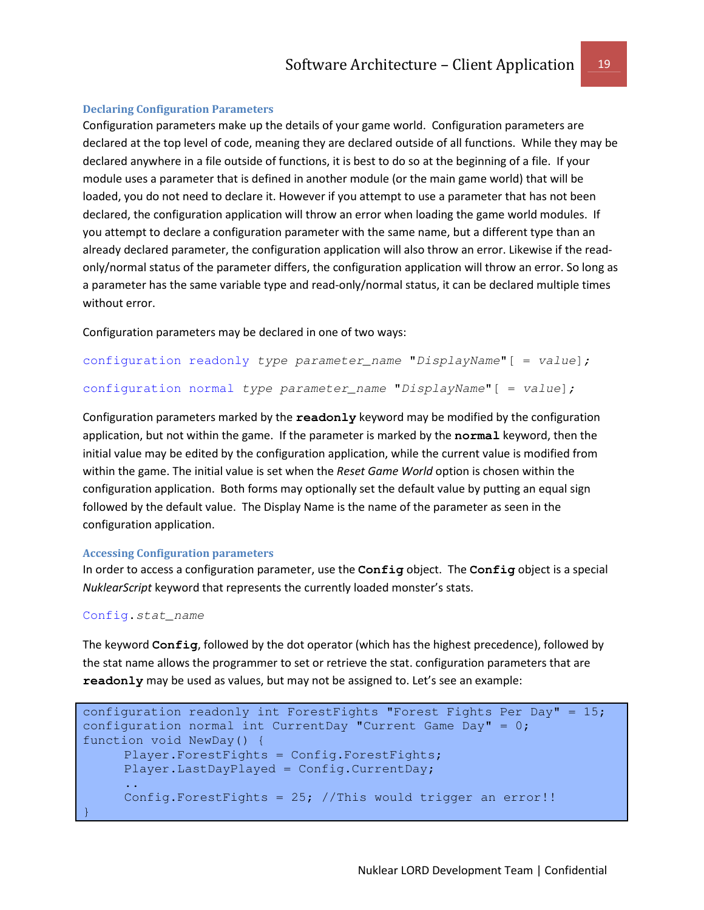#### Declaring Configuration Parameters

Configuration parameters make up the details of your game world. Configuration parameters are declared at the top level of code, meaning they are declared outside of all functions. While they may be declared anywhere in a file outside of functions, it is best to do so at the beginning of a file. If your module uses a parameter that is defined in another module (or the main game world) that will be loaded, you do not need to declare it. However if you attempt to use a parameter that has not been declared, the configuration application will throw an error when loading the game world modules. If you attempt to declare a configuration parameter with the same name, but a different type than an already declared parameter, the configuration application will also throw an error. Likewise if the readonly/normal status of the parameter differs, the configuration application will throw an error. So long as a parameter has the same variable type and read-only/normal status, it can be declared multiple times without error.

Configuration parameters may be declared in one of two ways:

```
configuration readonly type parameter_name "DisplayName"[ = value];
configuration normal type parameter_name "DisplayName"[ = value];
```
Configuration parameters marked by the **readonly** keyword may be modified by the configuration application, but not within the game. If the parameter is marked by the **normal** keyword, then the initial value may be edited by the configuration application, while the current value is modified from within the game. The initial value is set when the Reset Game World option is chosen within the configuration application. Both forms may optionally set the default value by putting an equal sign followed by the default value. The Display Name is the name of the parameter as seen in the configuration application.

#### Accessing Configuration parameters

In order to access a configuration parameter, use the **Config** object. The **Config** object is a special NuklearScript keyword that represents the currently loaded monster's stats.

#### Config**.**stat\_name

The keyword **Config**, followed by the dot operator (which has the highest precedence), followed by the stat name allows the programmer to set or retrieve the stat. configuration parameters that are **readonly** may be used as values, but may not be assigned to. Let's see an example:

```
configuration readonly int ForestFights "Forest Fights Per Day" = 15;
configuration normal int CurrentDay "Current Game Day" = 0;function void NewDay() { 
     Player.ForestFights = Config.ForestFights; 
     Player.LastDayPlayed = Config.CurrentDay; 
     .. 
     Config.ForestFights = 25; //This would trigger an error!! 
}
```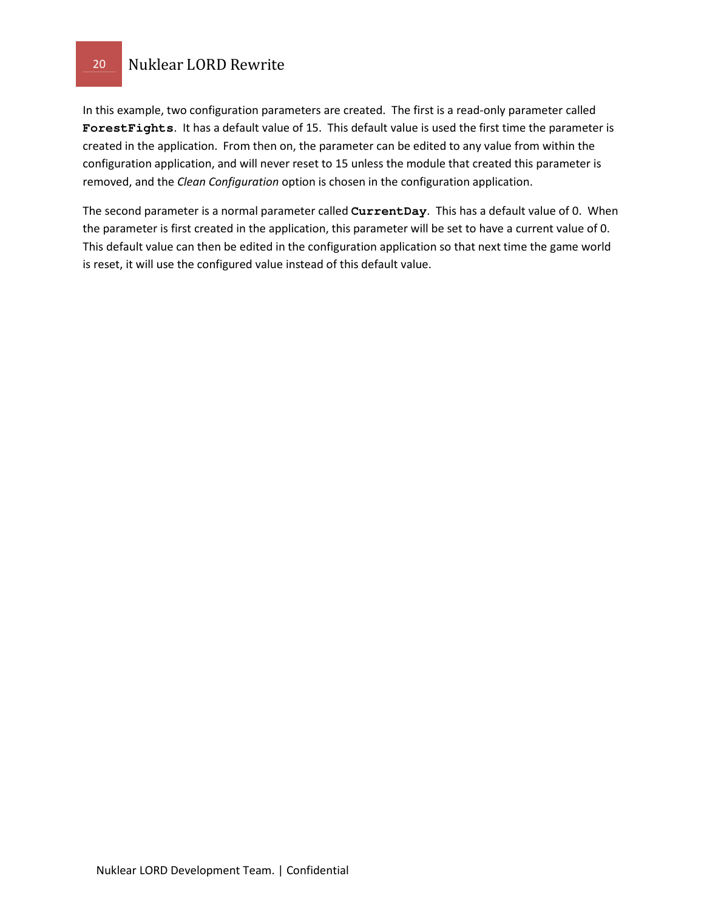In this example, two configuration parameters are created. The first is a read-only parameter called **ForestFights**. It has a default value of 15. This default value is used the first time the parameter is created in the application. From then on, the parameter can be edited to any value from within the configuration application, and will never reset to 15 unless the module that created this parameter is removed, and the Clean Configuration option is chosen in the configuration application.

The second parameter is a normal parameter called **CurrentDay**. This has a default value of 0. When the parameter is first created in the application, this parameter will be set to have a current value of 0. This default value can then be edited in the configuration application so that next time the game world is reset, it will use the configured value instead of this default value.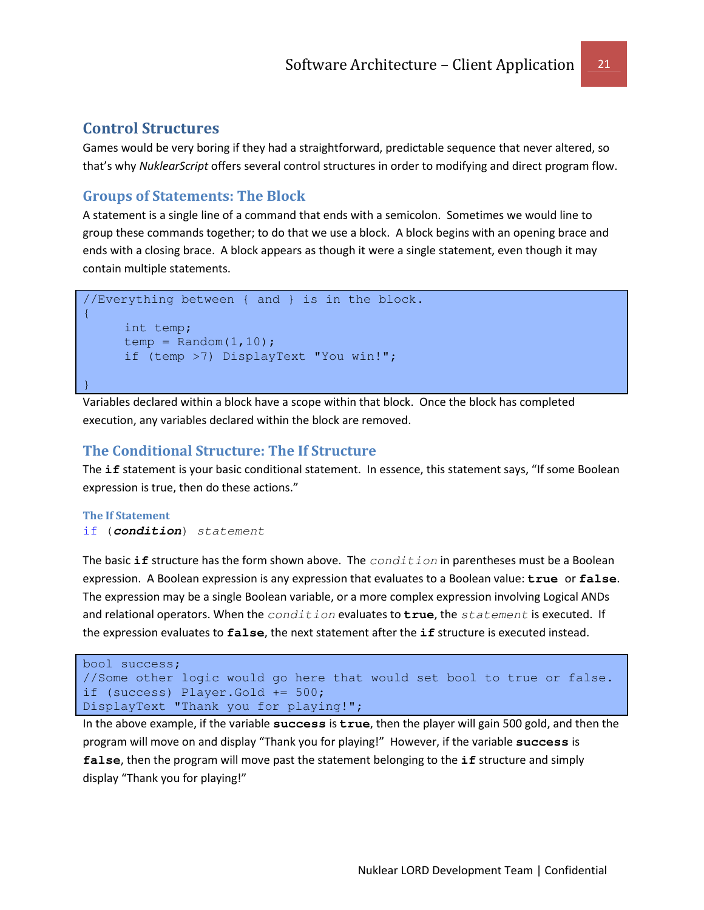### Control Structures

Games would be very boring if they had a straightforward, predictable sequence that never altered, so that's why NuklearScript offers several control structures in order to modifying and direct program flow.

### Groups of Statements: The Block

A statement is a single line of a command that ends with a semicolon. Sometimes we would line to group these commands together; to do that we use a block. A block begins with an opening brace and ends with a closing brace. A block appears as though it were a single statement, even though it may contain multiple statements.

```
//Everything between { and } is in the block.
{ 
     int temp; 
     temp = Random(1, 10);
     if (temp >7) DisplayText "You win!"; 
}
```
Variables declared within a block have a scope within that block. Once the block has completed execution, any variables declared within the block are removed.

### The Conditional Structure: The If Structure

The **if** statement is your basic conditional statement. In essence, this statement says, "If some Boolean expression is true, then do these actions."

#### The If Statement if (**condition**) statement

The basic **if** structure has the form shown above. The *condition* in parentheses must be a Boolean expression. A Boolean expression is any expression that evaluates to a Boolean value: **true** or **false**. The expression may be a single Boolean variable, or a more complex expression involving Logical ANDs and relational operators. When the *condition* evaluates to **true**, the *statement* is executed. If the expression evaluates to **false**, the next statement after the **if** structure is executed instead.

```
bool success; 
//Some other logic would go here that would set bool to true or false. 
if (success) Player.Gold += 500; 
DisplayText "Thank you for playing!";
```
In the above example, if the variable **success** is **true**, then the player will gain 500 gold, and then the program will move on and display "Thank you for playing!" However, if the variable **success** is **false**, then the program will move past the statement belonging to the **if** structure and simply display "Thank you for playing!"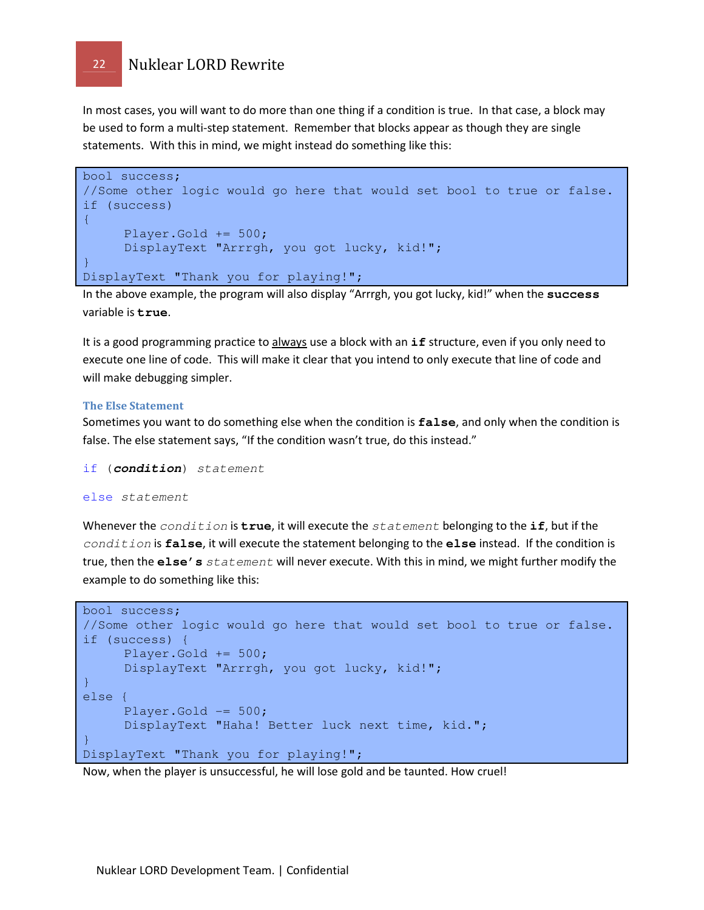In most cases, you will want to do more than one thing if a condition is true. In that case, a block may be used to form a multi-step statement. Remember that blocks appear as though they are single statements. With this in mind, we might instead do something like this:

```
bool success; 
//Some other logic would go here that would set bool to true or false. 
if (success) 
\{Player.Gold += 500; 
     DisplayText "Arrrgh, you got lucky, kid!"; 
} 
DisplayText "Thank you for playing!";
```
In the above example, the program will also display "Arrrgh, you got lucky, kid!" when the **success** variable is **true**.

It is a good programming practice to always use a block with an **if** structure, even if you only need to execute one line of code. This will make it clear that you intend to only execute that line of code and will make debugging simpler.

#### The Else Statement

Sometimes you want to do something else when the condition is **false**, and only when the condition is false. The else statement says, "If the condition wasn't true, do this instead."

if (**condition**) statement

#### else statement

Whenever the condition is **true**, it will execute the statement belonging to the **if**, but if the condition is **false**, it will execute the statement belonging to the **else** instead. If the condition is true, then the **else's** statement will never execute. With this in mind, we might further modify the example to do something like this:

```
bool success; 
//Some other logic would go here that would set bool to true or false. 
if (success) { 
     Player.Gold += 500; 
     DisplayText "Arrrgh, you got lucky, kid!"; 
} 
else { 
     Player.Gold -= 500; 
     DisplayText "Haha! Better luck next time, kid."; 
} 
DisplayText "Thank you for playing!";
```
Now, when the player is unsuccessful, he will lose gold and be taunted. How cruel!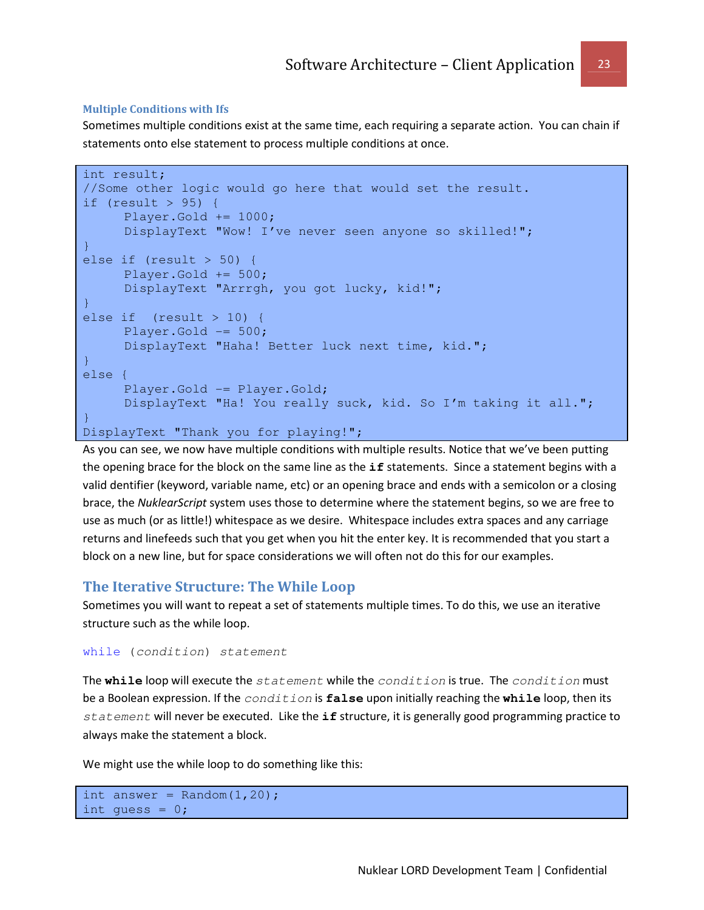#### Multiple Conditions with Ifs

Sometimes multiple conditions exist at the same time, each requiring a separate action. You can chain if statements onto else statement to process multiple conditions at once.

```
int result; 
//Some other logic would go here that would set the result. 
if (result > 95) { 
     Player.Gold += 1000; 
     DisplayText "Wow! I've never seen anyone so skilled!";
} 
else if (result > 50) { 
     Player.Gold += 500; 
     DisplayText "Arrrgh, you got lucky, kid!"; 
} 
else if (result > 10) { 
     Player.Gold - 500;
     DisplayText "Haha! Better luck next time, kid."; 
} 
else { 
      Player.Gold -= Player.Gold; 
     DisplayText "Ha! You really suck, kid. So I'm taking it all."; 
} 
DisplayText "Thank you for playing!";
```
As you can see, we now have multiple conditions with multiple results. Notice that we've been putting the opening brace for the block on the same line as the **if** statements. Since a statement begins with a valid dentifier (keyword, variable name, etc) or an opening brace and ends with a semicolon or a closing brace, the NuklearScript system uses those to determine where the statement begins, so we are free to use as much (or as little!) whitespace as we desire. Whitespace includes extra spaces and any carriage returns and linefeeds such that you get when you hit the enter key. It is recommended that you start a block on a new line, but for space considerations we will often not do this for our examples.

### The Iterative Structure: The While Loop

Sometimes you will want to repeat a set of statements multiple times. To do this, we use an iterative structure such as the while loop.

```
while (condition) statement
```
The **while** loop will execute the statement while the condition is true. The condition must be a Boolean expression. If the condition is **false** upon initially reaching the **while** loop, then its statement will never be executed. Like the **if** structure, it is generally good programming practice to always make the statement a block.

We might use the while loop to do something like this:

```
int answer = Random(1, 20);
int quess = 0;
```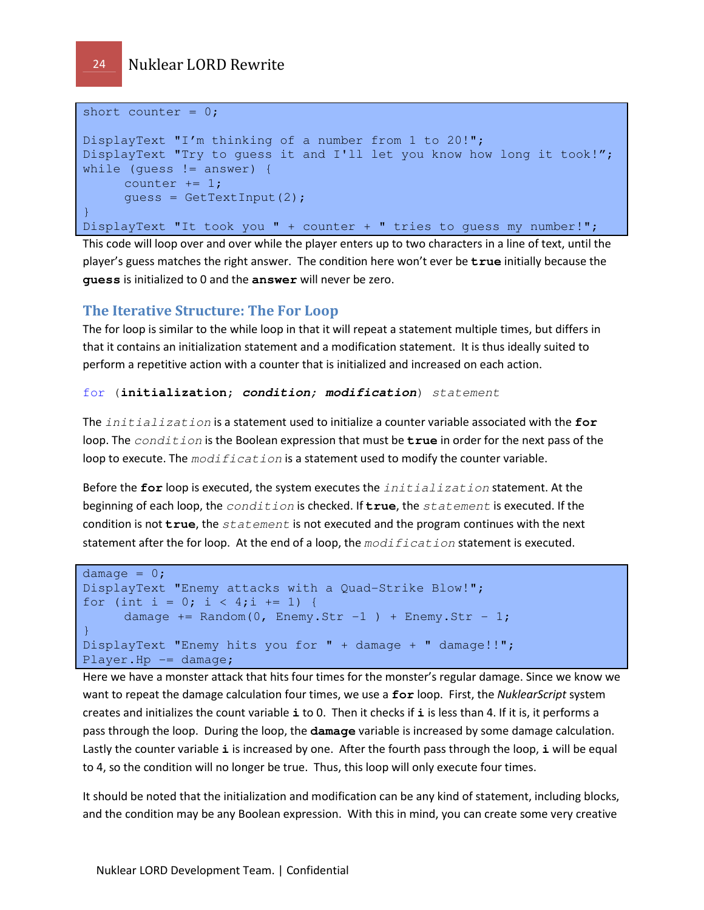```
short counter = 0;
DisplayText "I'm thinking of a number from 1 to 20!"; 
DisplayText "Try to guess it and I'll let you know how long it took!"; 
while (quess != answer) {
     counter += 1; guess = GetTextInput(2); 
} 
DisplayText "It took you " + counter + " tries to guess my number!";
```
This code will loop over and over while the player enters up to two characters in a line of text, until the player's guess matches the right answer. The condition here won't ever be **true** initially because the **guess** is initialized to 0 and the **answer** will never be zero.

### The Iterative Structure: The For Loop

The for loop is similar to the while loop in that it will repeat a statement multiple times, but differs in that it contains an initialization statement and a modification statement. It is thus ideally suited to perform a repetitive action with a counter that is initialized and increased on each action.

#### for (**initialization**; **condition**; **modification**) statement

The initialization is a statement used to initialize a counter variable associated with the **for** loop. The *condition* is the Boolean expression that must be **true** in order for the next pass of the loop to execute. The  $modification$  is a statement used to modify the counter variable.

Before the **for** loop is executed, the system executes the initialization statement. At the beginning of each loop, the condition is checked. If **true**, the statement is executed. If the condition is not **true**, the statement is not executed and the program continues with the next statement after the for loop. At the end of a loop, the  $modification$  statement is executed.

```
damage = 0;
DisplayText "Enemy attacks with a Quad-Strike Blow!"; 
for (int i = 0; i < 4;i += 1) {
     damage += Random(0, Enemy.Str -1 ) + Enemy.Str - 1;
} 
DisplayText "Enemy hits you for " + damage + " damage!!"; 
Player.Hp -= damage;
```
Here we have a monster attack that hits four times for the monster's regular damage. Since we know we want to repeat the damage calculation four times, we use a for loop. First, the NuklearScript system creates and initializes the count variable **i** to 0. Then it checks if **i** is less than 4. If it is, it performs a pass through the loop. During the loop, the **damage** variable is increased by some damage calculation. Lastly the counter variable **i** is increased by one. After the fourth pass through the loop, **i** will be equal to 4, so the condition will no longer be true. Thus, this loop will only execute four times.

It should be noted that the initialization and modification can be any kind of statement, including blocks, and the condition may be any Boolean expression. With this in mind, you can create some very creative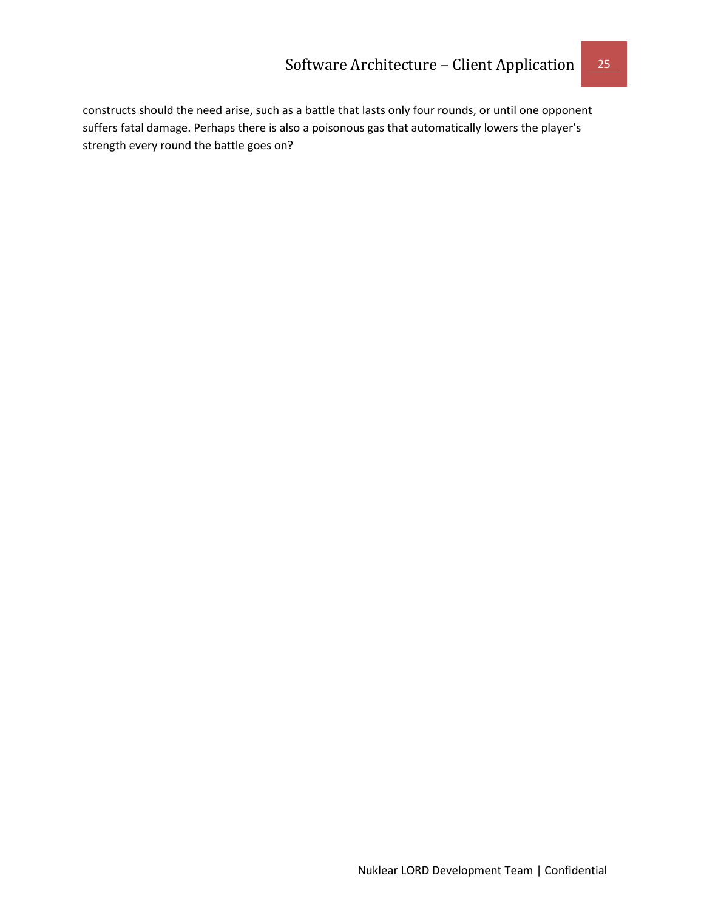constructs should the need arise, such as a battle that lasts only four rounds, or until one opponent suffers fatal damage. Perhaps there is also a poisonous gas that automatically lowers the player's strength every round the battle goes on?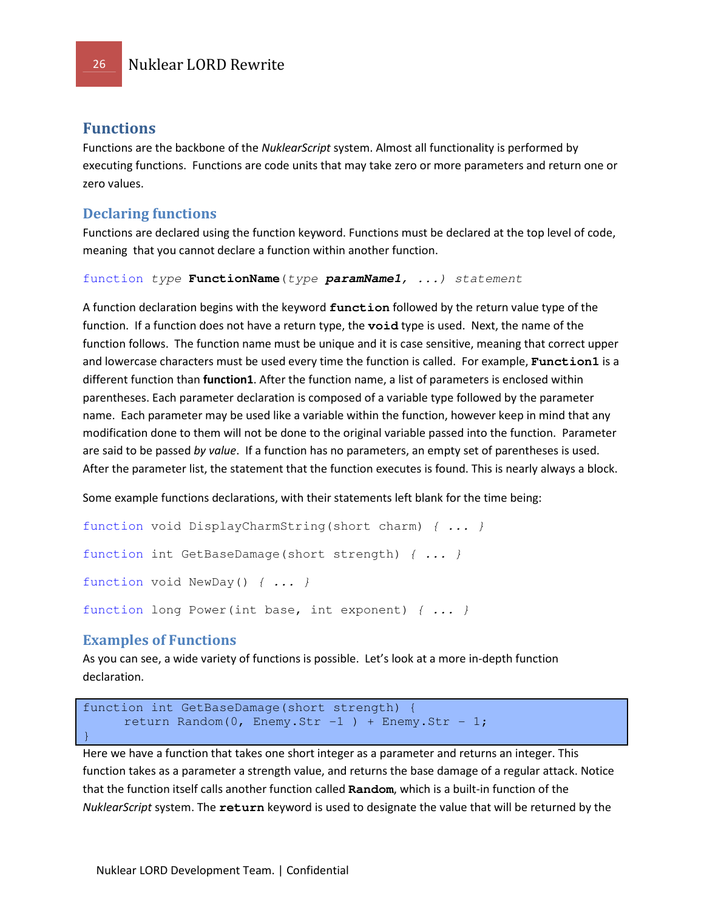### Functions

Functions are the backbone of the NuklearScript system. Almost all functionality is performed by executing functions. Functions are code units that may take zero or more parameters and return one or zero values.

#### Declaring functions

Functions are declared using the function keyword. Functions must be declared at the top level of code, meaning that you cannot declare a function within another function.

```
function type FunctionName(type paramName1, ...) statement
```
A function declaration begins with the keyword **function** followed by the return value type of the function. If a function does not have a return type, the **void** type is used. Next, the name of the function follows. The function name must be unique and it is case sensitive, meaning that correct upper and lowercase characters must be used every time the function is called. For example, **Function1** is a different function than **function1**. After the function name, a list of parameters is enclosed within parentheses. Each parameter declaration is composed of a variable type followed by the parameter name. Each parameter may be used like a variable within the function, however keep in mind that any modification done to them will not be done to the original variable passed into the function. Parameter are said to be passed by value. If a function has no parameters, an empty set of parentheses is used. After the parameter list, the statement that the function executes is found. This is nearly always a block.

Some example functions declarations, with their statements left blank for the time being:

```
function void DisplayCharmString(short charm) { ... } 
function int GetBaseDamage(short strength) { ... } 
function void NewDay() { ... } 
function long Power(int base, int exponent) \{ \ldots \}
```
### Examples of Functions

As you can see, a wide variety of functions is possible. Let's look at a more in-depth function declaration.

```
function int GetBaseDamage(short strength) { 
     return Random(0, Enemy.Str -1 ) + Enemy.Str - 1;
}
```
Here we have a function that takes one short integer as a parameter and returns an integer. This function takes as a parameter a strength value, and returns the base damage of a regular attack. Notice that the function itself calls another function called **Random**, which is a built-in function of the NuklearScript system. The **return** keyword is used to designate the value that will be returned by the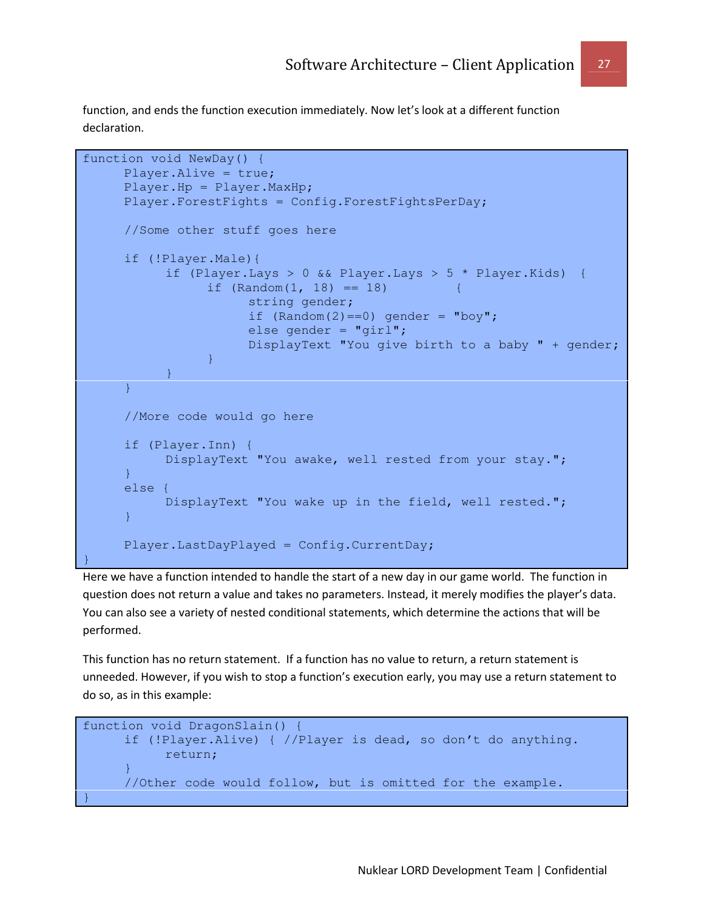function, and ends the function execution immediately. Now let's look at a different function declaration.

```
function void NewDay() { 
     Player.Alive = true; 
     Player.Hp = Player.MaxHp; 
      Player.ForestFights = Config.ForestFightsPerDay; 
      //Some other stuff goes here 
      if (!Player.Male){ 
             if (Player.Lays > 0 && Player.Lays > 5 * Player.Kids) { 
                  if (Random(1, 18) == 18) string gender; 
                        if (Random(2) == 0) gender = "boy";
                        else gender = "girl"; DisplayText "You give birth to a baby " + gender; 
      \{ \mathcal{A} \} and \{ \mathcal{A} \} and \{ \mathcal{A} \} .
             } 
      } 
      //More code would go here 
      if (Player.Inn) { 
             DisplayText "You awake, well rested from your stay."; 
      } 
      else { 
             DisplayText "You wake up in the field, well rested."; 
      } 
      Player.LastDayPlayed = Config.CurrentDay; 
}
```
Here we have a function intended to handle the start of a new day in our game world. The function in question does not return a value and takes no parameters. Instead, it merely modifies the player's data. You can also see a variety of nested conditional statements, which determine the actions that will be performed.

This function has no return statement. If a function has no value to return, a return statement is unneeded. However, if you wish to stop a function's execution early, you may use a return statement to do so, as in this example:

```
function void DragonSlain() { 
     if (!Player.Alive) { //Player is dead, so don't do anything. 
            return; 
     } 
      //Other code would follow, but is omitted for the example. 
}
```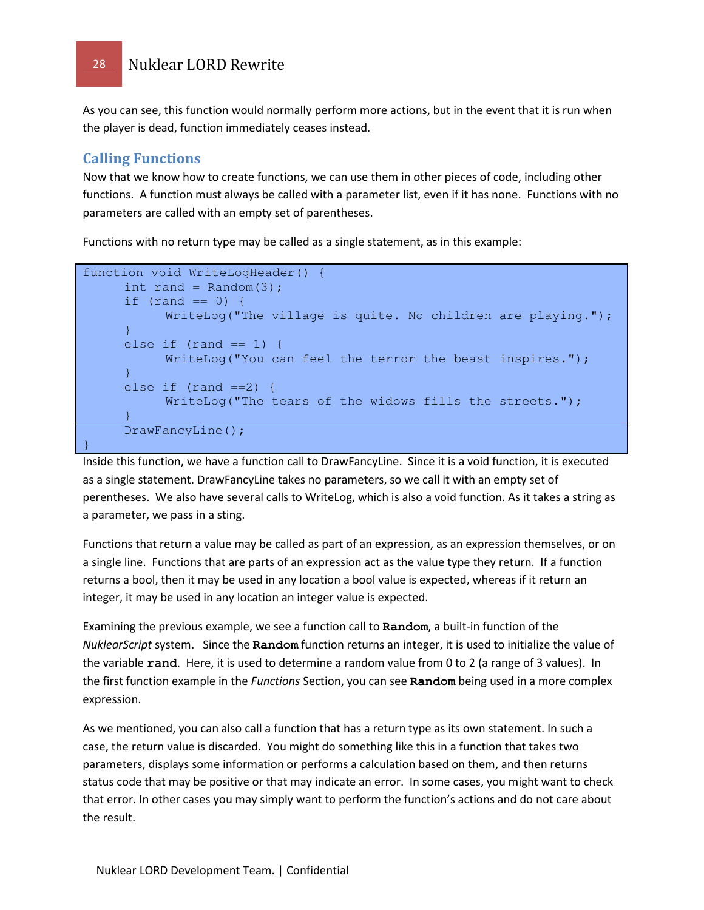As you can see, this function would normally perform more actions, but in the event that it is run when the player is dead, function immediately ceases instead.

### Calling Functions

Now that we know how to create functions, we can use them in other pieces of code, including other functions. A function must always be called with a parameter list, even if it has none. Functions with no parameters are called with an empty set of parentheses.

Functions with no return type may be called as a single statement, as in this example:

```
function void WriteLogHeader() { 
     int rand = Random(3);
     if (rand == 0) {
            WriteLog("The village is quite. No children are playing."); 
     } 
     else if (rand == 1) {
           WriteLog("You can feel the terror the beast inspires.");
     } 
     else if (rand ==2) {
          WriteLog("The tears of the widows fills the streets.");
     } 
     DrawFancyLine(); 
}
```
Inside this function, we have a function call to DrawFancyLine. Since it is a void function, it is executed as a single statement. DrawFancyLine takes no parameters, so we call it with an empty set of perentheses. We also have several calls to WriteLog, which is also a void function. As it takes a string as a parameter, we pass in a sting.

Functions that return a value may be called as part of an expression, as an expression themselves, or on a single line. Functions that are parts of an expression act as the value type they return. If a function returns a bool, then it may be used in any location a bool value is expected, whereas if it return an integer, it may be used in any location an integer value is expected.

Examining the previous example, we see a function call to **Random**, a built-in function of the NuklearScript system. Since the **Random** function returns an integer, it is used to initialize the value of the variable **rand**. Here, it is used to determine a random value from 0 to 2 (a range of 3 values). In the first function example in the Functions Section, you can see **Random** being used in a more complex expression.

As we mentioned, you can also call a function that has a return type as its own statement. In such a case, the return value is discarded. You might do something like this in a function that takes two parameters, displays some information or performs a calculation based on them, and then returns status code that may be positive or that may indicate an error. In some cases, you might want to check that error. In other cases you may simply want to perform the function's actions and do not care about the result.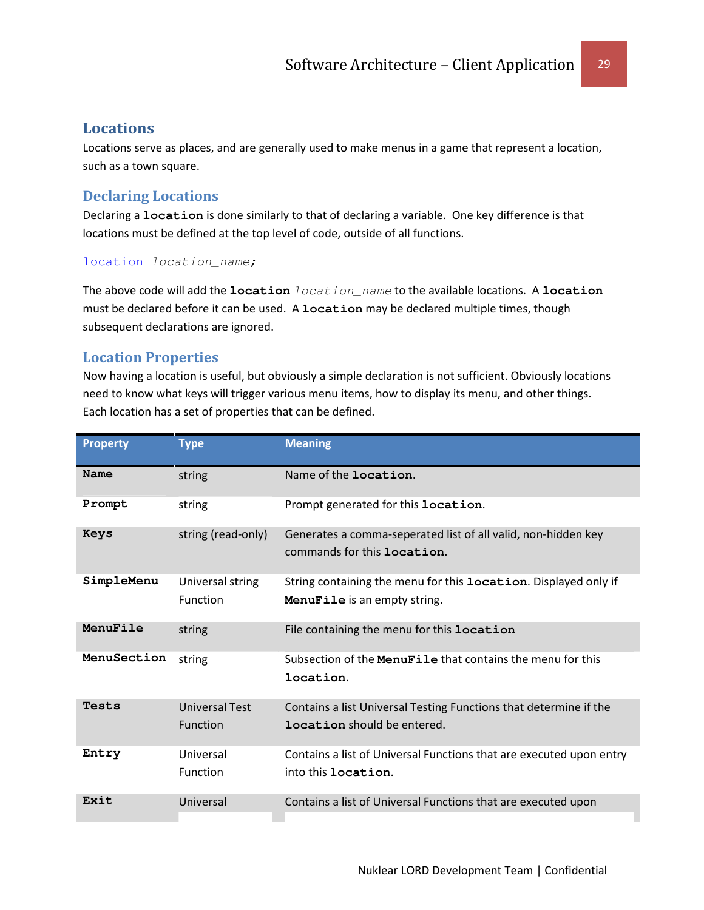### Locations

Locations serve as places, and are generally used to make menus in a game that represent a location, such as a town square.

### Declaring Locations

Declaring a **location** is done similarly to that of declaring a variable. One key difference is that locations must be defined at the top level of code, outside of all functions.

#### location location\_name;

The above code will add the **location** location\_name to the available locations. A **location** must be declared before it can be used. A **location** may be declared multiple times, though subsequent declarations are ignored.

### Location Properties

Now having a location is useful, but obviously a simple declaration is not sufficient. Obviously locations need to know what keys will trigger various menu items, how to display its menu, and other things. Each location has a set of properties that can be defined.

| <b>Property</b> | <b>Type</b>                              | <b>Meaning</b>                                                                                          |
|-----------------|------------------------------------------|---------------------------------------------------------------------------------------------------------|
| Name            | string                                   | Name of the <b>location</b> .                                                                           |
| Prompt          | string                                   | Prompt generated for this location.                                                                     |
| Keys            | string (read-only)                       | Generates a comma-seperated list of all valid, non-hidden key<br>commands for this location.            |
| SimpleMenu      | Universal string<br>Function             | String containing the menu for this location. Displayed only if<br>MenuFile is an empty string.         |
| MenuFile        | string                                   | File containing the menu for this location                                                              |
| MenuSection     | string                                   | Subsection of the MenuFile that contains the menu for this<br>location.                                 |
| Tests           | <b>Universal Test</b><br><b>Function</b> | Contains a list Universal Testing Functions that determine if the<br><b>location</b> should be entered. |
| Entry           | Universal<br>Function                    | Contains a list of Universal Functions that are executed upon entry<br>into this <b>location</b> .      |
| Exit            | Universal                                | Contains a list of Universal Functions that are executed upon                                           |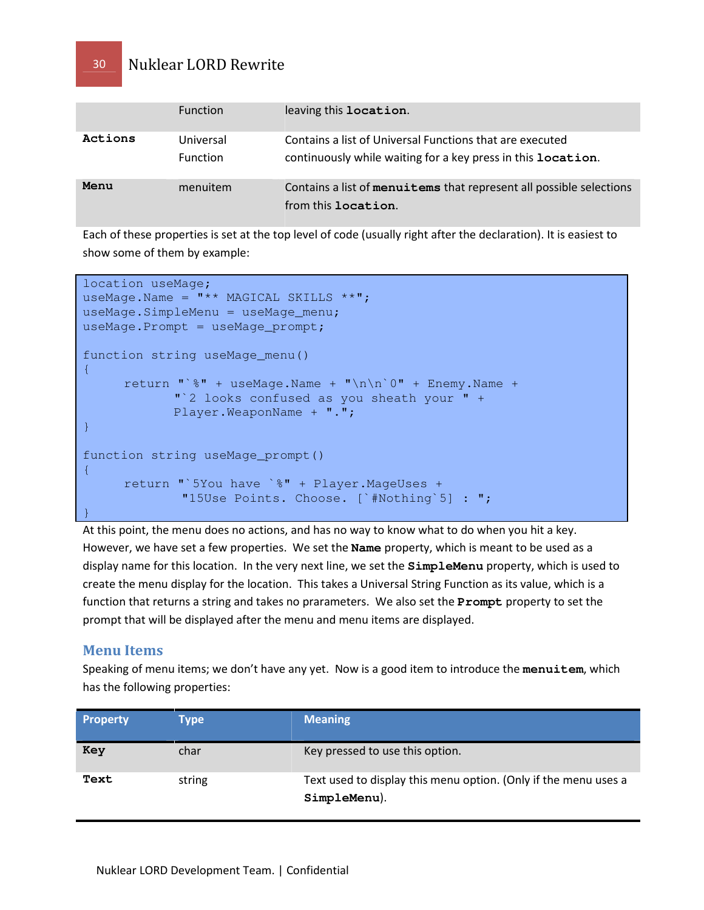|         | <b>Function</b>              | leaving this location.                                                                                                           |
|---------|------------------------------|----------------------------------------------------------------------------------------------------------------------------------|
| Actions | Universal<br><b>Function</b> | Contains a list of Universal Functions that are executed<br>continuously while waiting for a key press in this <b>location</b> . |
| Menu    | menuitem                     | Contains a list of menuitems that represent all possible selections<br>from this <b>location</b> .                               |

Each of these properties is set at the top level of code (usually right after the declaration). It is easiest to show some of them by example:

```
location useMage; 
useMage.Name = "** MAGICAL SKILLS **";
useMage.SimpleMenu = useMage_menu; 
useMage.Prompt = useMage_prompt; 
function string useMage_menu() 
\{return "`%" + useMage.Name + "\n\n`0" + Enemy.Name +
        "`2 looks confused as you sheath your " + 
             Player.WeaponName + "."; 
} 
function string useMage_prompt() 
{ 
      return "`5You have `%" + Player.MageUses + 
             "15Use Points. Choose. [`#Nothing`5] : "; 
}
```
At this point, the menu does no actions, and has no way to know what to do when you hit a key. However, we have set a few properties. We set the **Name** property, which is meant to be used as a display name for this location. In the very next line, we set the **SimpleMenu** property, which is used to create the menu display for the location. This takes a Universal String Function as its value, which is a function that returns a string and takes no prarameters. We also set the **Prompt** property to set the prompt that will be displayed after the menu and menu items are displayed.

### Menu Items

Speaking of menu items; we don't have any yet. Now is a good item to introduce the **menuitem**, which has the following properties:

| <b>Property</b> | Type   | <b>Meaning</b>                                                                  |
|-----------------|--------|---------------------------------------------------------------------------------|
| Key             | char   | Key pressed to use this option.                                                 |
| Text            | string | Text used to display this menu option. (Only if the menu uses a<br>SimpleMenu). |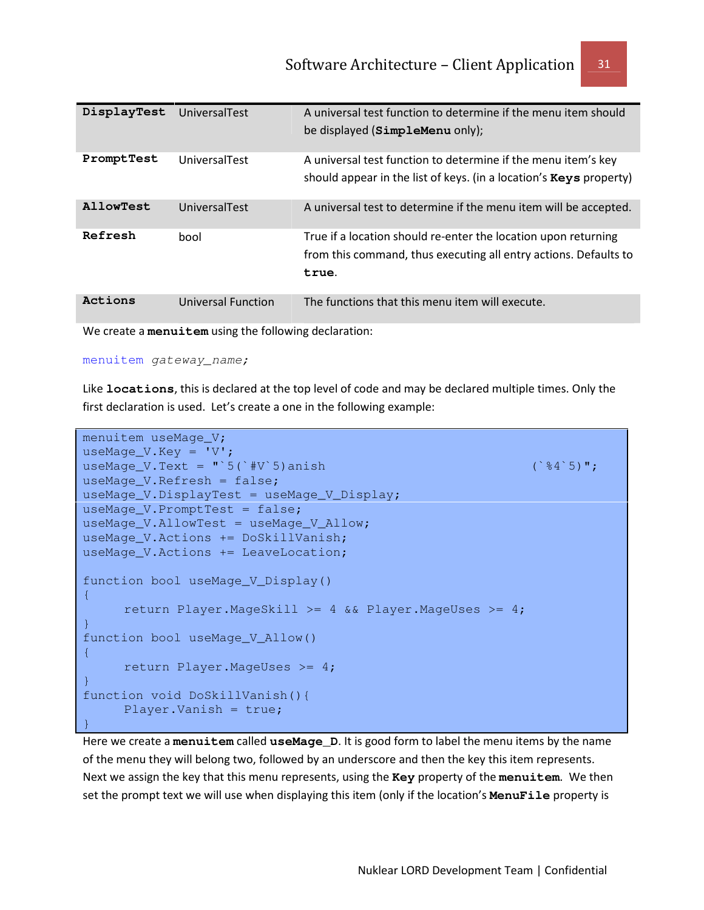| DisplayTest | UniversalTest      | A universal test function to determine if the menu item should<br>be displayed (SimpleMenu only);                                           |
|-------------|--------------------|---------------------------------------------------------------------------------------------------------------------------------------------|
| PromptTest  | UniversalTest      | A universal test function to determine if the menu item's key<br>should appear in the list of keys. (in a location's <b>Keys</b> property)  |
| AllowTest   | UniversalTest      | A universal test to determine if the menu item will be accepted.                                                                            |
| Refresh     | bool               | True if a location should re-enter the location upon returning<br>from this command, thus executing all entry actions. Defaults to<br>true. |
| Actions     | Universal Function | The functions that this menu item will execute.                                                                                             |

We create a **menuitem** using the following declaration:

#### menuitem gateway\_name;

Like **locations**, this is declared at the top level of code and may be declared multiple times. Only the first declaration is used. Let's create a one in the following example:

```
menuitem useMage V;
useMage_V.Key = 'V';
useMage_V.Text = \mathbf{u} \cdot \mathbf{5} (\mathbf{v} \cdot \mathbf{F}) anish (\mathbf{v} \cdot \mathbf{S}) and (\mathbf{v} \cdot \mathbf{S}) \mathbf{v};
useMage_V.Refresh = false; 
useMage_V.DisplayTest = useMage_V_Display; 
useMage_V.PromptTest = false; 
useMage_V.AllowTest = useMage_V_Allow; 
useMage_V.Actions += DoSkillVanish; 
useMage_V.Actions += LeaveLocation; 
function bool useMage_V_Display() 
\mathcal{L} return Player.MageSkill >= 4 && Player.MageUses >= 4; 
} 
function bool useMage_V_Allow() 
{ 
       return Player.MageUses >= 4; 
} 
function void DoSkillVanish(){ 
       Player.Vanish = true; 
}
```
Here we create a **menuitem** called **useMage\_D**. It is good form to label the menu items by the name of the menu they will belong two, followed by an underscore and then the key this item represents. Next we assign the key that this menu represents, using the **Key** property of the **menuitem**. We then set the prompt text we will use when displaying this item (only if the location's **MenuFile** property is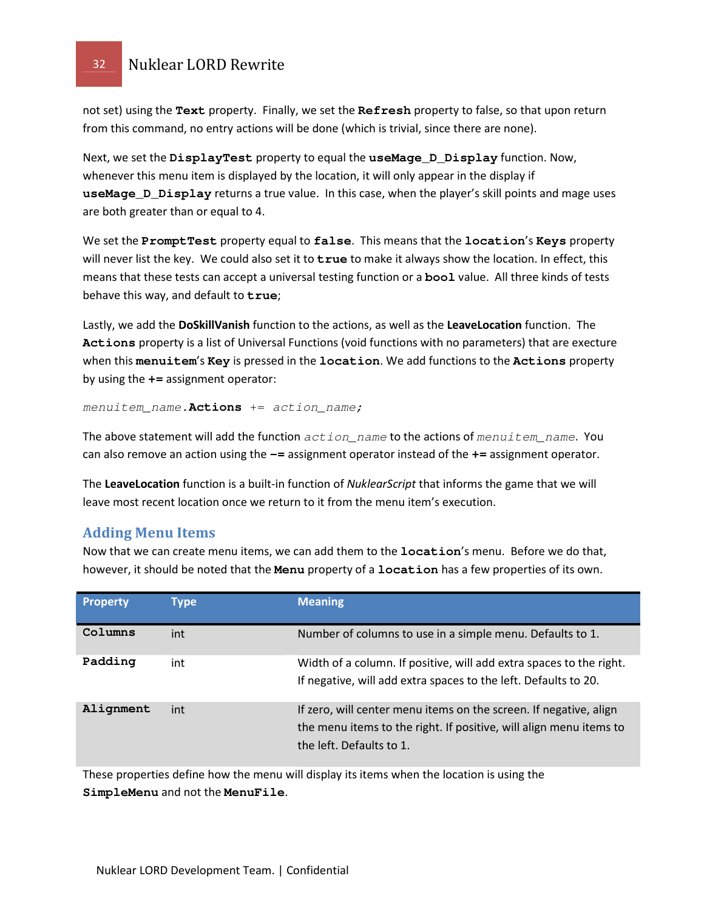not set) using the **Text** property. Finally, we set the **Refresh** property to false, so that upon return from this command, no entry actions will be done (which is trivial, since there are none).

Next, we set the **DisplayTest** property to equal the **useMage\_D\_Display** function. Now, whenever this menu item is displayed by the location, it will only appear in the display if **useMage\_D\_Display** returns a true value. In this case, when the player's skill points and mage uses are both greater than or equal to 4.

We set the **PromptTest** property equal to **false**. This means that the **location**'s **Keys** property will never list the key. We could also set it to **true** to make it always show the location. In effect, this means that these tests can accept a universal testing function or a **bool** value. All three kinds of tests behave this way, and default to **true**;

Lastly, we add the DoSkillVanish function to the actions, as well as the LeaveLocation function. The **Actions** property is a list of Universal Functions (void functions with no parameters) that are execture when this **menuitem**'s **Key** is pressed in the **location**. We add functions to the **Actions** property by using the **+=** assignment operator:

menuitem\_name**.Actions** += action\_name;

The above statement will add the function  $action\_name$  to the actions of menuitem\_name. You can also remove an action using the **-=** assignment operator instead of the **+=** assignment operator.

The LeaveLocation function is a built-in function of NuklearScript that informs the game that we will leave most recent location once we return to it from the menu item's execution.

### Adding Menu Items

Now that we can create menu items, we can add them to the **location**'s menu. Before we do that, however, it should be noted that the **Menu** property of a **location** has a few properties of its own.

| <b>Property</b> | Type | <b>Meaning</b>                                                                                                                                                      |
|-----------------|------|---------------------------------------------------------------------------------------------------------------------------------------------------------------------|
| Columns         | int  | Number of columns to use in a simple menu. Defaults to 1.                                                                                                           |
| Padding         | int  | Width of a column. If positive, will add extra spaces to the right.<br>If negative, will add extra spaces to the left. Defaults to 20.                              |
| Alignment       | int  | If zero, will center menu items on the screen. If negative, align<br>the menu items to the right. If positive, will align menu items to<br>the left. Defaults to 1. |

These properties define how the menu will display its items when the location is using the **SimpleMenu** and not the **MenuFile**.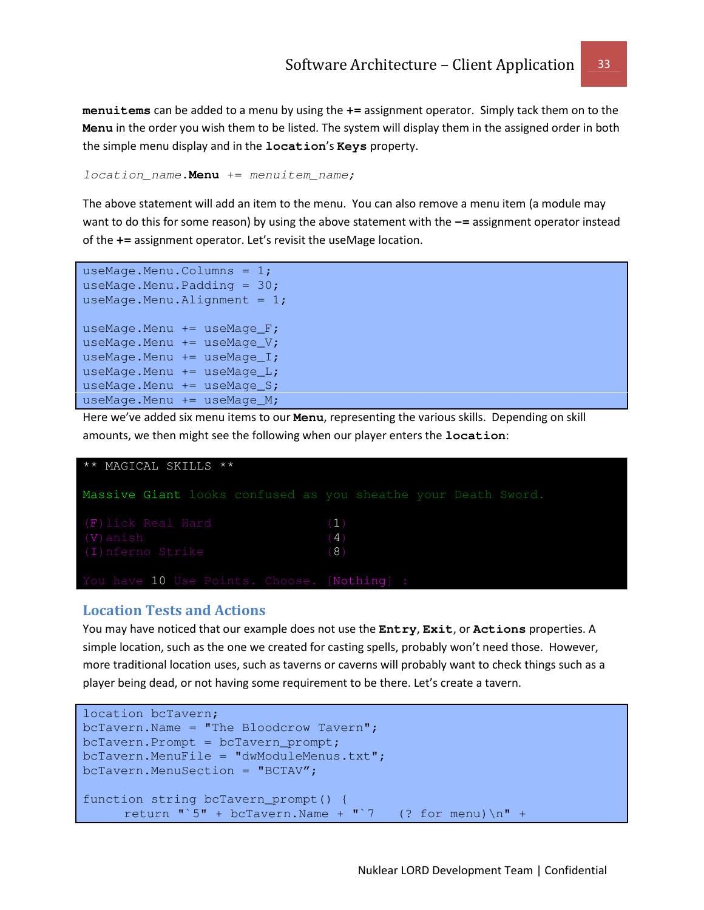**menuitems** can be added to a menu by using the **+=** assignment operator. Simply tack them on to the **Menu** in the order you wish them to be listed. The system will display them in the assigned order in both the simple menu display and in the **location**'s **Keys** property.

location\_name**.Menu** += menuitem\_name;

The above statement will add an item to the menu. You can also remove a menu item (a module may want to do this for some reason) by using the above statement with the  $-$ = assignment operator instead of the **+=** assignment operator. Let's revisit the useMage location.

useMage.Menu.Columns = 1; useMage.Menu.Padding =  $30;$ useMage.Menu.Alignment =  $1;$ useMage.Menu += useMage\_F; useMage.Menu  $+=$  useMage V; useMage.Menu  $+=$  useMage $_I$ ; useMage.Menu += useMage\_L; useMage.Menu += useMage\_S; useMage.Menu += useMage\_M;

Here we've added six menu items to our **Menu**, representing the various skills. Depending on skill amounts, we then might see the following when our player enters the **location**:



#### Location Tests and Actions

You may have noticed that our example does not use the **Entry**, **Exit**, or **Actions** properties. A simple location, such as the one we created for casting spells, probably won't need those. However, more traditional location uses, such as taverns or caverns will probably want to check things such as a player being dead, or not having some requirement to be there. Let's create a tavern.

```
location bcTavern; 
bcTavern.Name = "The Bloodcrow Tavern";bcTavern.Prompt = bcTavern_prompt; 
bcTavern.MenuFile = "dwModuleMenus.txt"; 
bcTavern.MenuSection = "BCTAV"; 
function string bcTavern_prompt() { 
     return "`5" + bcTavern.Name + "`7 (? for menu) \n" +
```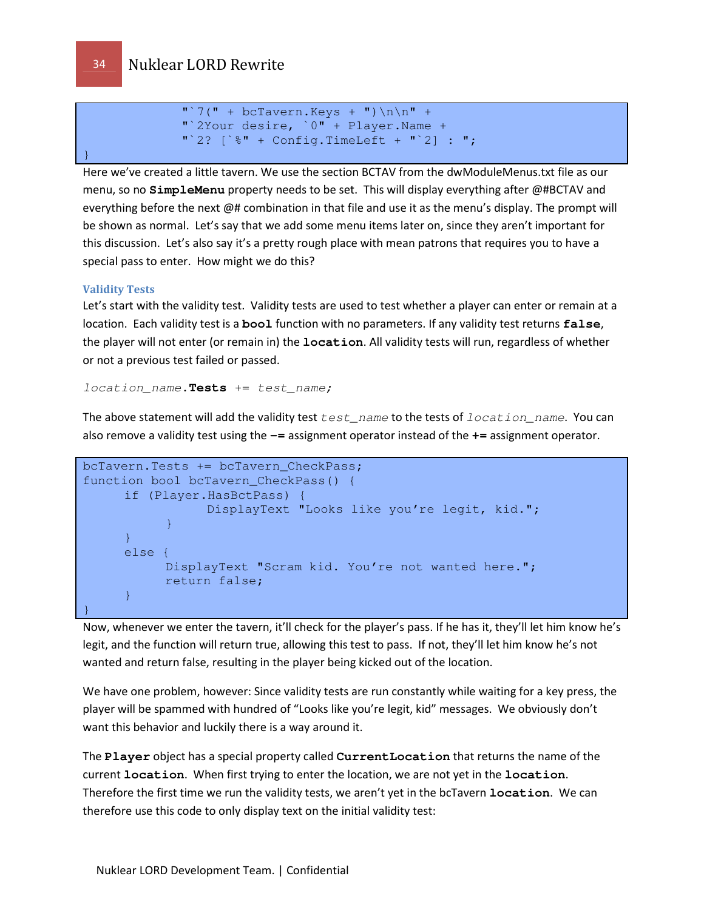```
"\hat{ }7(" + bclavern.Keys + ")\n\hat{ }r + "`2Your desire, `0" + Player.Name + 
"\ 2? \ \ + Config.TimeLeft + "\ 2] : ";
```
Here we've created a little tavern. We use the section BCTAV from the dwModuleMenus.txt file as our menu, so no **SimpleMenu** property needs to be set. This will display everything after @#BCTAV and everything before the next @# combination in that file and use it as the menu's display. The prompt will be shown as normal. Let's say that we add some menu items later on, since they aren't important for this discussion. Let's also say it's a pretty rough place with mean patrons that requires you to have a special pass to enter. How might we do this?

#### Validity Tests

Let's start with the validity test. Validity tests are used to test whether a player can enter or remain at a location. Each validity test is a **bool** function with no parameters. If any validity test returns **false**, the player will not enter (or remain in) the **location**. All validity tests will run, regardless of whether or not a previous test failed or passed.

location\_name**.Tests** += test\_name;

The above statement will add the validity test  $test\_name$  to the tests of  $location\_name$ . You can also remove a validity test using the **-=** assignment operator instead of the **+=** assignment operator.

```
bcTavern.Tests += bcTavern_CheckPass; 
function bool bcTavern_CheckPass() { 
     if (Player.HasBctPass) { 
                  DisplayText "Looks like you're legit, kid."; 
      } 
     } 
     else { 
           DisplayText "Scram kid. You're not wanted here."; 
            return false; 
     } 
}
```
Now, whenever we enter the tavern, it'll check for the player's pass. If he has it, they'll let him know he's legit, and the function will return true, allowing this test to pass. If not, they'll let him know he's not wanted and return false, resulting in the player being kicked out of the location.

We have one problem, however: Since validity tests are run constantly while waiting for a key press, the player will be spammed with hundred of "Looks like you're legit, kid" messages. We obviously don't want this behavior and luckily there is a way around it.

The **Player** object has a special property called **CurrentLocation** that returns the name of the current **location**. When first trying to enter the location, we are not yet in the **location**. Therefore the first time we run the validity tests, we aren't yet in the bcTavern **location**. We can therefore use this code to only display text on the initial validity test:

}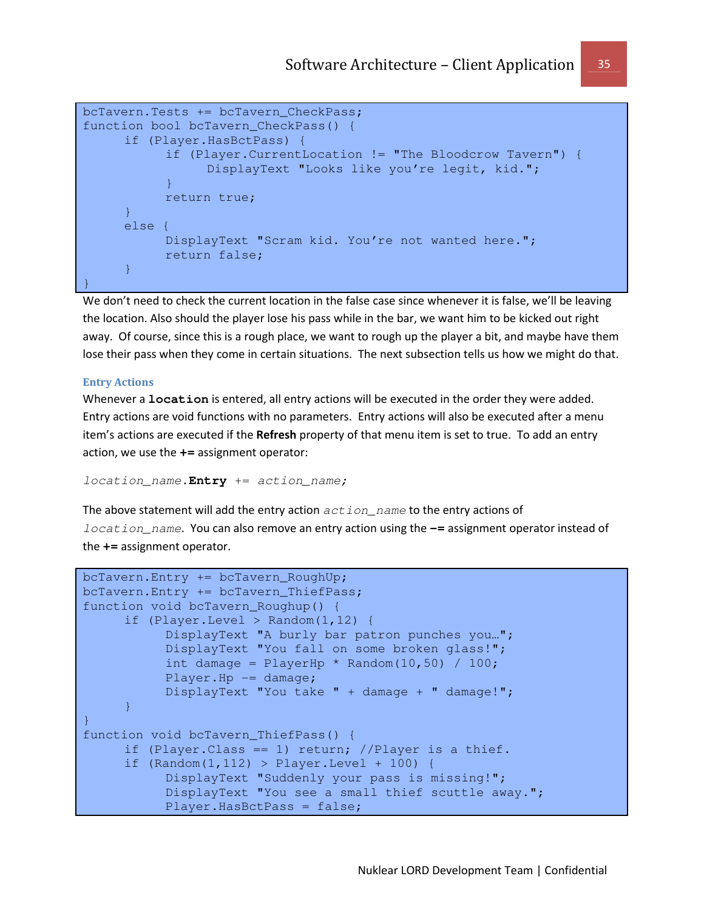```
bcTavern.Tests += bcTavern_CheckPass; 
function bool bcTavern_CheckPass() { 
     if (Player.HasBctPass) { 
            if (Player.CurrentLocation != "The Bloodcrow Tavern") { 
                  DisplayText "Looks like you're legit, kid."; 
             } 
            return true; 
      } 
     else { 
            DisplayText "Scram kid. You're not wanted here."; 
            return false; 
      } 
}
```
We don't need to check the current location in the false case since whenever it is false, we'll be leaving the location. Also should the player lose his pass while in the bar, we want him to be kicked out right away. Of course, since this is a rough place, we want to rough up the player a bit, and maybe have them lose their pass when they come in certain situations. The next subsection tells us how we might do that.

#### Entry Actions

Whenever a **location** is entered, all entry actions will be executed in the order they were added. Entry actions are void functions with no parameters. Entry actions will also be executed after a menu item's actions are executed if the Refresh property of that menu item is set to true. To add an entry action, we use the **+=** assignment operator:

location\_name**.Entry** += action\_name;

The above statement will add the entry action  $action\_name$  to the entry actions of location\_name. You can also remove an entry action using the **-=** assignment operator instead of the **+=** assignment operator.

```
bcTavern.Entry += bcTavern_RoughUp; 
bcTavern.Entry += bcTavern_ThiefPass; 
function void bcTavern_Roughup() { 
      if (Player.Level > Random(1,12) { 
            DisplayText "A burly bar patron punches you…"; 
            DisplayText "You fall on some broken glass!"; 
           int damage = PlayerHp * Random(10, 50) / 100; Player.Hp -= damage; 
            DisplayText "You take " + damage + " damage!"; 
     } 
} 
function void bcTavern_ThiefPass() { 
     if (Player.Class == 1) return; //Player is a thief.
     if (Random(1,112) > Player.Lavel + 100) DisplayText "Suddenly your pass is missing!"; 
            DisplayText "You see a small thief scuttle away.";
            Player.HasBctPass = false;
```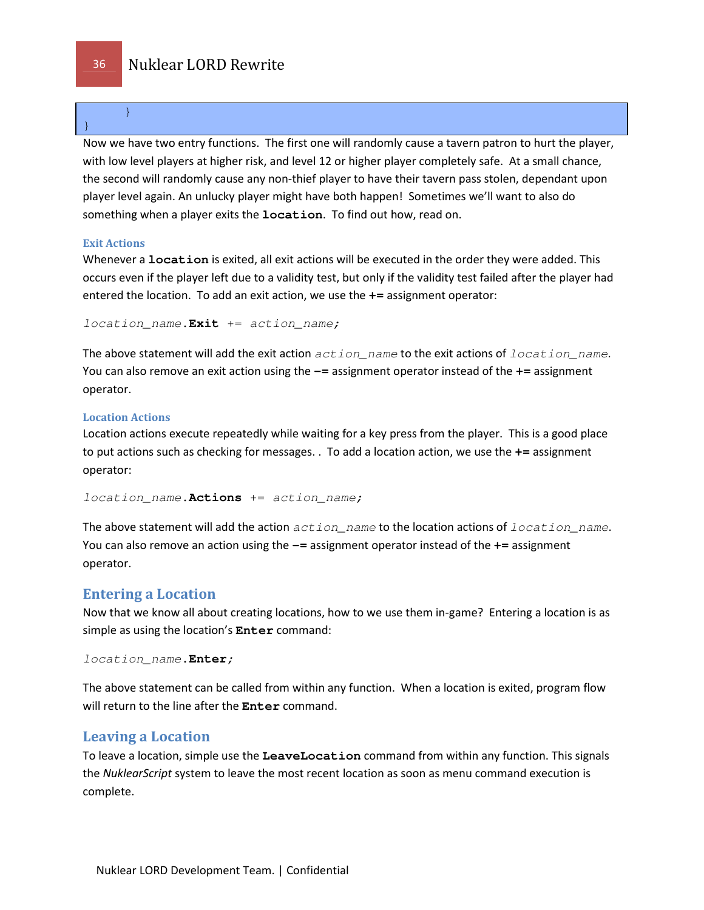}

Now we have two entry functions. The first one will randomly cause a tavern patron to hurt the player, with low level players at higher risk, and level 12 or higher player completely safe. At a small chance, the second will randomly cause any non-thief player to have their tavern pass stolen, dependant upon player level again. An unlucky player might have both happen! Sometimes we'll want to also do something when a player exits the **location**. To find out how, read on.

### Exit Actions

Whenever a **location** is exited, all exit actions will be executed in the order they were added. This occurs even if the player left due to a validity test, but only if the validity test failed after the player had entered the location. To add an exit action, we use the **+=** assignment operator:

location name. Exit += action name;

The above statement will add the exit action  $action\_name$  to the exit actions of  $location\_name$ . You can also remove an exit action using the **-=** assignment operator instead of the **+=** assignment operator.

#### Location Actions

Location actions execute repeatedly while waiting for a key press from the player. This is a good place to put actions such as checking for messages. . To add a location action, we use the **+=** assignment operator:

location\_name**.Actions** += action\_name;

The above statement will add the action  $action\_name$  to the location actions of  $location\_name$ . You can also remove an action using the **-=** assignment operator instead of the **+=** assignment operator.

### Entering a Location

Now that we know all about creating locations, how to we use them in-game? Entering a location is as simple as using the location's **Enter** command:

```
location_name.Enter;
```
The above statement can be called from within any function. When a location is exited, program flow will return to the line after the **Enter** command.

### Leaving a Location

To leave a location, simple use the **LeaveLocation** command from within any function. This signals the NuklearScript system to leave the most recent location as soon as menu command execution is complete.

}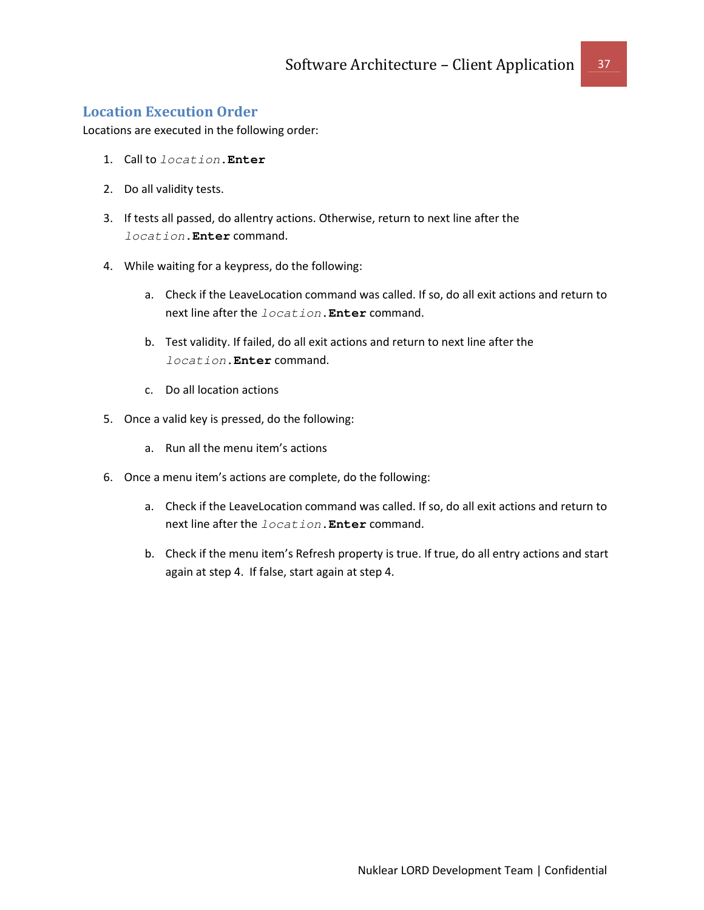### Location Execution Order

Locations are executed in the following order:

- 1. Call to location**.Enter**
- 2. Do all validity tests.
- 3. If tests all passed, do allentry actions. Otherwise, return to next line after the location**.Enter** command.
- 4. While waiting for a keypress, do the following:
	- a. Check if the LeaveLocation command was called. If so, do all exit actions and return to next line after the location**.Enter** command.
	- b. Test validity. If failed, do all exit actions and return to next line after the location**.Enter** command.
	- c. Do all location actions
- 5. Once a valid key is pressed, do the following:
	- a. Run all the menu item's actions
- 6. Once a menu item's actions are complete, do the following:
	- a. Check if the LeaveLocation command was called. If so, do all exit actions and return to next line after the location**.Enter** command.
	- b. Check if the menu item's Refresh property is true. If true, do all entry actions and start again at step 4. If false, start again at step 4.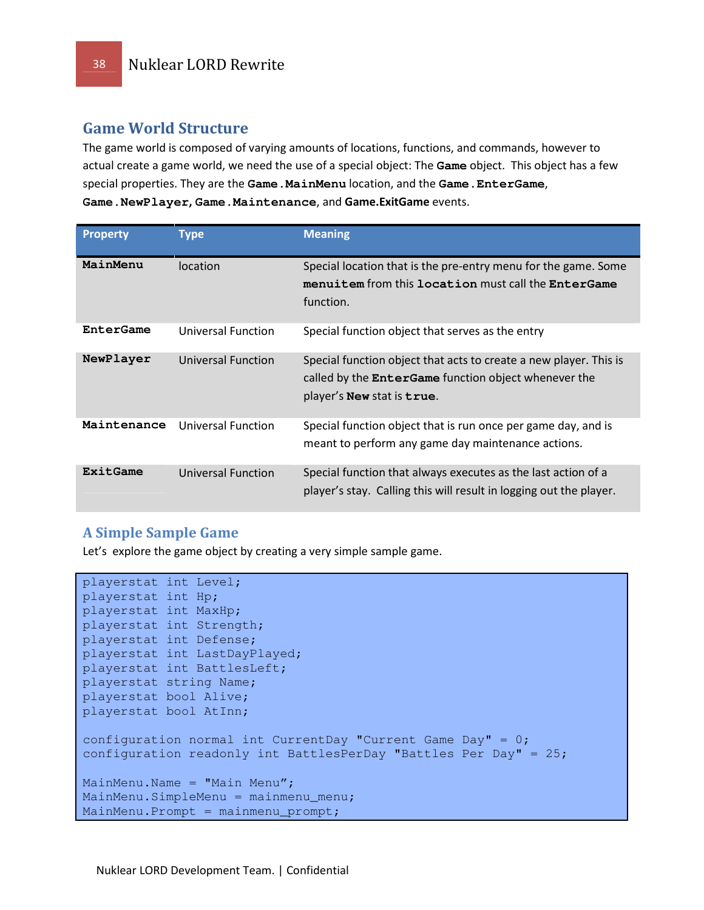### Game World Structure

The game world is composed of varying amounts of locations, functions, and commands, however to actual create a game world, we need the use of a special object: The **Game** object. This object has a few special properties. They are the **Game.MainMenu** location, and the **Game.EnterGame**, **Game.NewPlayer**, **Game.Maintenance**, and Game.ExitGame events.

| <b>Property</b> | Type                      | <b>Meaning</b>                                                                                                                                                 |
|-----------------|---------------------------|----------------------------------------------------------------------------------------------------------------------------------------------------------------|
| MainMenu        | <i>location</i>           | Special location that is the pre-entry menu for the game. Some<br>menuitem from this location must call the EnterGame<br>function.                             |
| EnterGame       | Universal Function        | Special function object that serves as the entry                                                                                                               |
| NewPlayer       | <b>Universal Function</b> | Special function object that acts to create a new player. This is<br>called by the <b>EnterGame</b> function object whenever the<br>player's New stat is true. |
| Maintenance     | Universal Function        | Special function object that is run once per game day, and is<br>meant to perform any game day maintenance actions.                                            |
| ExitGame        | Universal Function        | Special function that always executes as the last action of a<br>player's stay. Calling this will result in logging out the player.                            |

### A Simple Sample Game

Let's explore the game object by creating a very simple sample game.

```
playerstat int Level; 
playerstat int Hp; 
playerstat int MaxHp; 
playerstat int Strength; 
playerstat int Defense; 
playerstat int LastDayPlayed; 
playerstat int BattlesLeft; 
playerstat string Name; 
playerstat bool Alive; 
playerstat bool AtInn; 
configuration normal int CurrentDay "Current Game Day" = 0;configuration readonly int BattlesPerDay "Battles Per Day" = 25;
MainMenu.Name = "Main Menu"; 
MainMenu.SimpleMenu = mainmenu_menu; 
MainMenu.Prompt = mainmenu_prompt;
```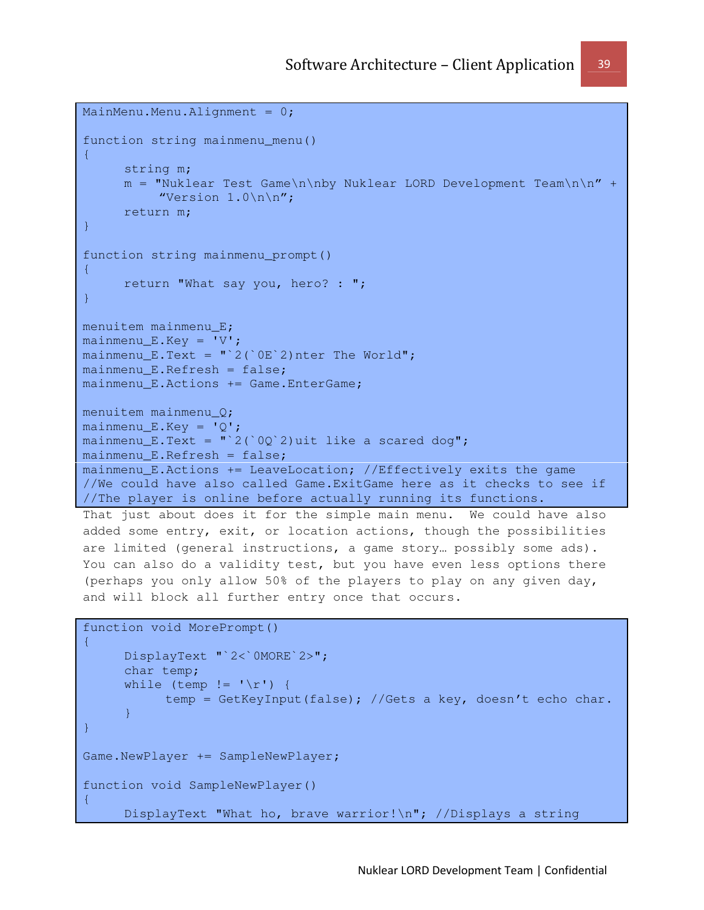```
MainMenu.Menu.Alignment = 0;function string mainmenu_menu() 
\left\{ \right. string m; 
     m = "Nuklear Test Game\n\nby Nuklear LORD Development Team\n\n" +
          "Version 1.0\n\times n";
     return m; 
} 
function string mainmenu_prompt() 
{ 
     return "What say you, hero? : "; 
} 
menuitem mainmenu_E; 
mainmenu_E.Key = 'V'; 
mainmenu_E.Text = "2('0E'2)nter The World";
mainmenu E.Refresh = false;
mainmenu_E.Actions += Game.EnterGame; 
menuitem mainmenu_Q; 
mainmenu_E.Key = 'Q';mainmenu_E.Text = "\,2(\,0) 2)uit like a scared dog";
mainmenu_E.Refresh = false; 
mainmenu E.Actions += LeaveLocation; //Effectively exits the game
//We could have also called Game.ExitGame here as it checks to see if 
//The player is online before actually running its functions. 
That just about does it for the simple main menu. We could have also 
added some entry, exit, or location actions, though the possibilities 
are limited (general instructions, a game story… possibly some ads). 
You can also do a validity test, but you have even less options there 
(perhaps you only allow 50% of the players to play on any given day, 
and will block all further entry once that occurs. 
function void MorePrompt() 
{ 
      DisplayText "`2<`0MORE`2>"; 
      char temp; 
     while (temp != '\r') {
            temp = GetKeyInput(false); //Gets a key, doesn't echo char. 
      } 
}
```

```
Game.NewPlayer += SampleNewPlayer;
```

```
function void SampleNewPlayer()
```
{

DisplayText "What ho, brave warrior!\n"; //Displays a string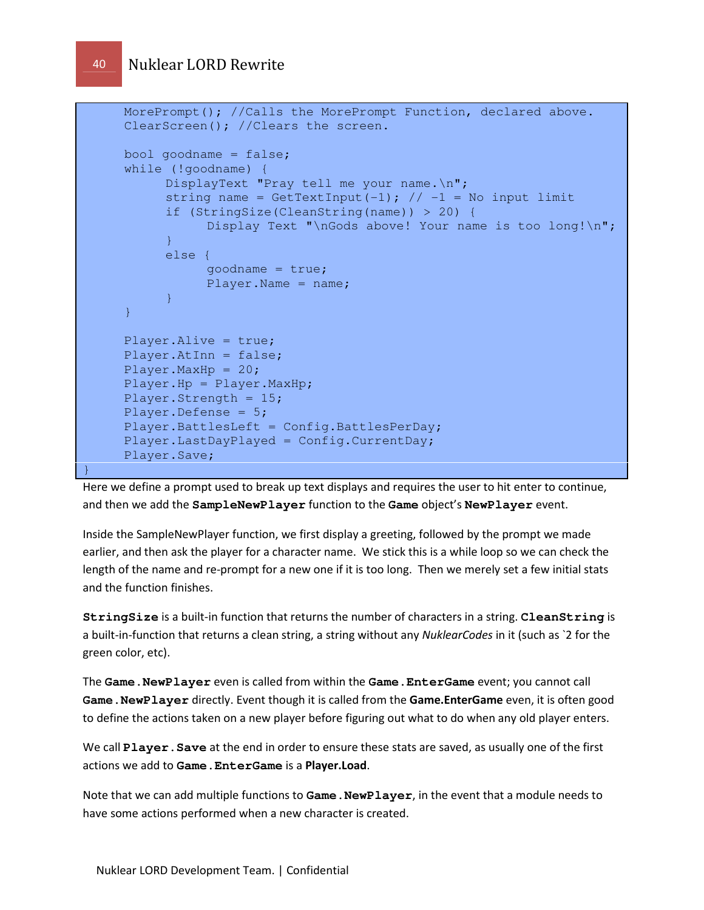```
MorePrompt(); //Calls the MorePrompt Function, declared above.
      ClearScreen(); //Clears the screen. 
      bool goodname = false; while (!goodname) { 
           DisplayText "Pray tell me your name.\n";
            string name = GetTextInput(-1); \frac{1}{1} -1 = No input limit
              if (StringSize(CleanString(name)) > 20) { 
                   Display Text "\nGods above! Your name is too long!\n";
\{ \mathcal{A} \} and \{ \mathcal{A} \} and \{ \mathcal{A} \} .
             else { 
                    goodname = true; 
                    Player.Name = name; 
\{ \mathcal{A} \} and \{ \mathcal{A} \} and \{ \mathcal{A} \} .
      } 
      Player.Alive = true; 
      Player.AtInn = false; 
      Player.MaxHp = 20;
      Player.Hp = Player.MaxHp; 
      Player.Strength = 15; 
      Player.Defense = 5; 
      Player.BattlesLeft = Config.BattlesPerDay; 
      Player.LastDayPlayed = Config.CurrentDay; 
      Player.Save;
```
Here we define a prompt used to break up text displays and requires the user to hit enter to continue, and then we add the **SampleNewPlayer** function to the **Game** object's **NewPlayer** event.

Inside the SampleNewPlayer function, we first display a greeting, followed by the prompt we made earlier, and then ask the player for a character name. We stick this is a while loop so we can check the length of the name and re-prompt for a new one if it is too long. Then we merely set a few initial stats and the function finishes.

**StringSize** is a built-in function that returns the number of characters in a string. **CleanString** is a built-in-function that returns a clean string, a string without any NuklearCodes in it (such as `2 for the green color, etc).

The **Game.NewPlayer** even is called from within the **Game.EnterGame** event; you cannot call **Game.NewPlayer** directly. Event though it is called from the Game.EnterGame even, it is often good to define the actions taken on a new player before figuring out what to do when any old player enters.

We call **Player.Save** at the end in order to ensure these stats are saved, as usually one of the first actions we add to **Game.EnterGame** is a Player.Load.

Note that we can add multiple functions to **Game.NewPlayer**, in the event that a module needs to have some actions performed when a new character is created.

}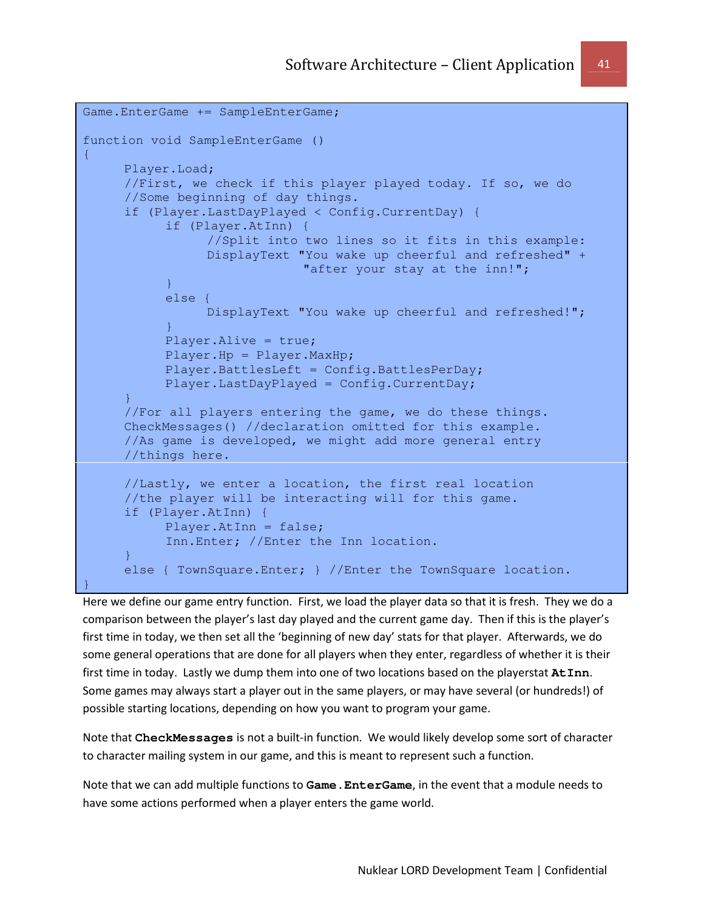```
Game.EnterGame += SampleEnterGame; 
function void SampleEnterGame () 
{ 
      Player.Load; 
       //First, we check if this player played today. If so, we do 
       //Some beginning of day things. 
      if (Player.LastDayPlayed < Config.CurrentDay) { 
             if (Player.AtInn) { 
                   //Split into two lines so it fits in this example: 
                   DisplayText "You wake up cheerful and refreshed" + 
                                 "after your stay at the inn!"; 
             } 
             else { 
                   DisplayText "You wake up cheerful and refreshed!"; 
\{ \mathcal{A} \} and \{ \mathcal{A} \} and \{ \mathcal{A} \} .
             Player.Alive = true; 
             Player.Hp = Player.MaxHp; 
             Player.BattlesLeft = Config.BattlesPerDay; 
             Player.LastDayPlayed = Config.CurrentDay; 
       } 
       //For all players entering the game, we do these things. 
       CheckMessages() //declaration omitted for this example. 
       //As game is developed, we might add more general entry 
       //things here. 
      //Lastly, we enter a location, the first real location 
      //the player will be interacting will for this game. 
       if (Player.AtInn) { 
             Player.AtInn = false; 
             Inn.Enter; //Enter the Inn location. 
      } 
       else { TownSquare.Enter; } //Enter the TownSquare location. 
}
```
Here we define our game entry function. First, we load the player data so that it is fresh. They we do a comparison between the player's last day played and the current game day. Then if this is the player's first time in today, we then set all the 'beginning of new day' stats for that player. Afterwards, we do some general operations that are done for all players when they enter, regardless of whether it is their first time in today. Lastly we dump them into one of two locations based on the playerstat **AtInn**. Some games may always start a player out in the same players, or may have several (or hundreds!) of possible starting locations, depending on how you want to program your game.

Note that **CheckMessages** is not a built-in function. We would likely develop some sort of character to character mailing system in our game, and this is meant to represent such a function.

Note that we can add multiple functions to **Game.EnterGame**, in the event that a module needs to have some actions performed when a player enters the game world.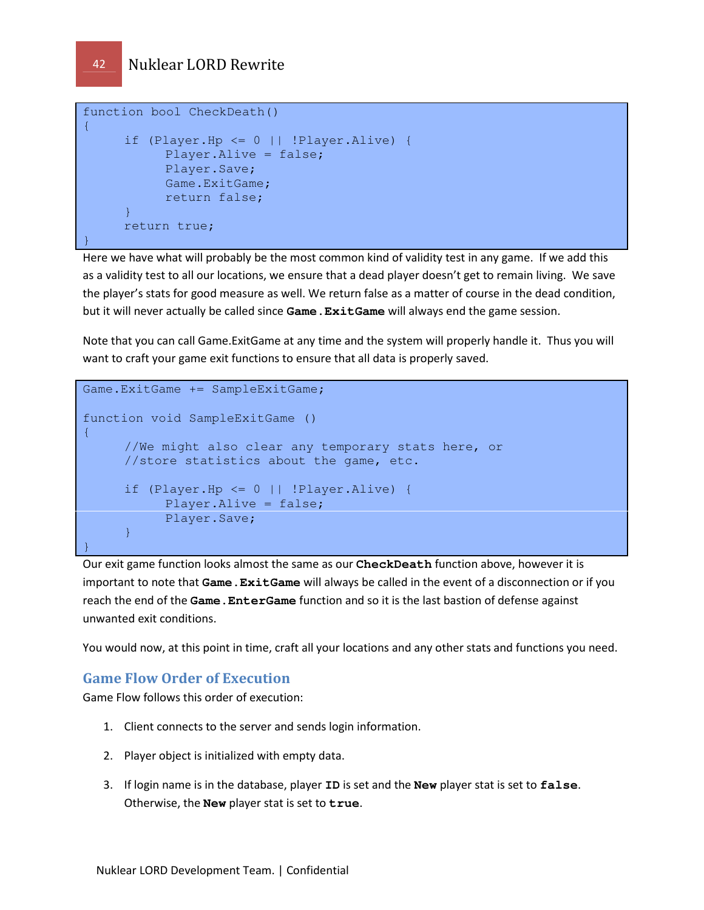```
function bool CheckDeath() 
{ 
     if (Player.Hp <= 0 || !Player.Alive) { 
           Player.Alive = false; 
           Player.Save; 
            Game.ExitGame; 
            return false; 
      } 
      return true; 
}
```
Here we have what will probably be the most common kind of validity test in any game. If we add this as a validity test to all our locations, we ensure that a dead player doesn't get to remain living. We save the player's stats for good measure as well. We return false as a matter of course in the dead condition, but it will never actually be called since **Game.ExitGame** will always end the game session.

Note that you can call Game.ExitGame at any time and the system will properly handle it. Thus you will want to craft your game exit functions to ensure that all data is properly saved.

```
Game.ExitGame += SampleExitGame; 
function void SampleExitGame () 
{ 
      //We might also clear any temporary stats here, or
      //store statistics about the game, etc. 
     if (Player.Hp \leq 0 || !Player.Alive) {
           Player.Alive = false; 
           Player.Save; 
       } 
}
```
Our exit game function looks almost the same as our **CheckDeath** function above, however it is important to note that **Game.ExitGame** will always be called in the event of a disconnection or if you reach the end of the **Game.EnterGame** function and so it is the last bastion of defense against unwanted exit conditions.

You would now, at this point in time, craft all your locations and any other stats and functions you need.

### Game Flow Order of Execution

Game Flow follows this order of execution:

- 1. Client connects to the server and sends login information.
- 2. Player object is initialized with empty data.
- 3. If login name is in the database, player **ID** is set and the **New** player stat is set to **false**. Otherwise, the **New** player stat is set to **true**.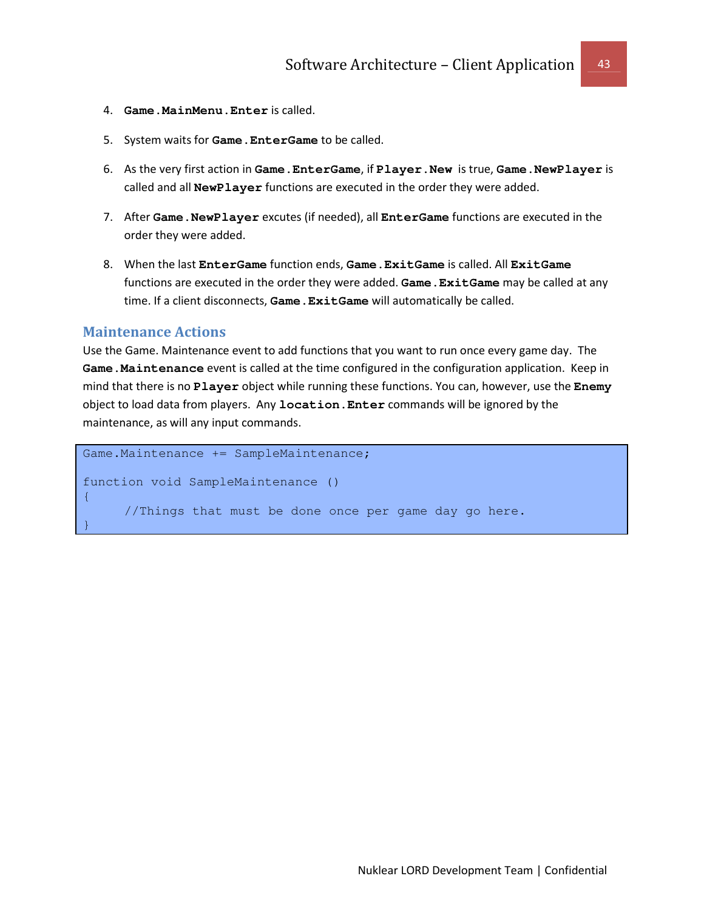- 4. **Game.MainMenu.Enter** is called.
- 5. System waits for **Game.EnterGame** to be called.
- 6. As the very first action in **Game.EnterGame**, if **Player.New** is true, **Game.NewPlayer** is called and all **NewPlayer** functions are executed in the order they were added.
- 7. After **Game.NewPlayer** excutes (if needed), all **EnterGame** functions are executed in the order they were added.
- 8. When the last **EnterGame** function ends, **Game.ExitGame** is called. All **ExitGame** functions are executed in the order they were added. **Game.ExitGame** may be called at any time. If a client disconnects, **Game.ExitGame** will automatically be called.

#### Maintenance Actions

Use the Game. Maintenance event to add functions that you want to run once every game day. The **Game.Maintenance** event is called at the time configured in the configuration application. Keep in mind that there is no **Player** object while running these functions. You can, however, use the **Enemy** object to load data from players. Any **location.Enter** commands will be ignored by the maintenance, as will any input commands.

```
Game.Maintenance += SampleMaintenance; 
function void SampleMaintenance () 
{ 
      //Things that must be done once per game day go here. 
}
```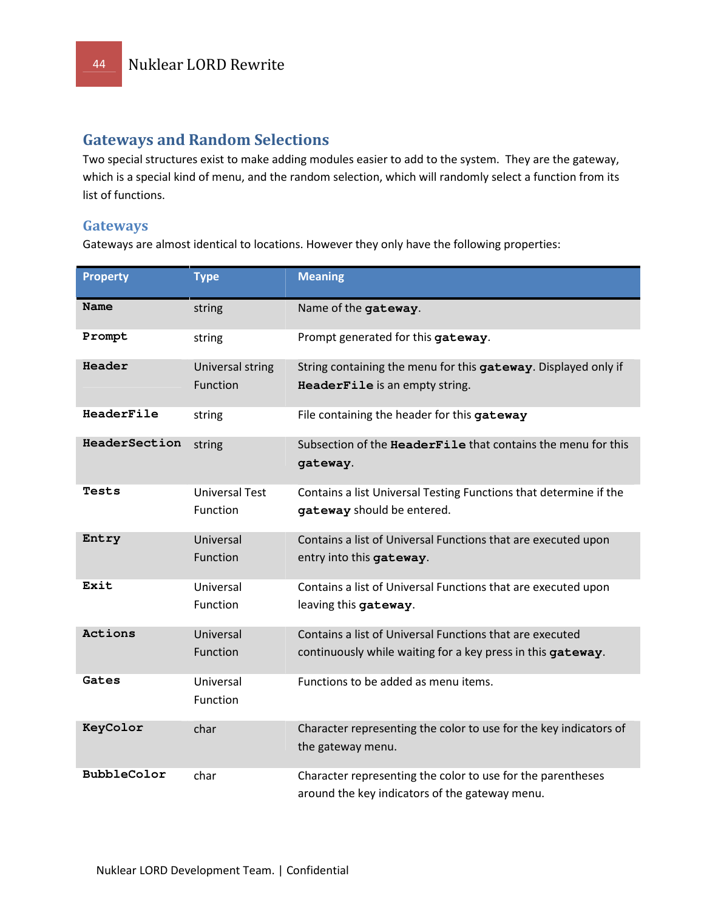### Gateways and Random Selections

Two special structures exist to make adding modules easier to add to the system. They are the gateway, which is a special kind of menu, and the random selection, which will randomly select a function from its list of functions.

### **Gateways**

Gateways are almost identical to locations. However they only have the following properties:

| <b>Property</b> | <b>Type</b>                       | <b>Meaning</b>                                                                                                          |
|-----------------|-----------------------------------|-------------------------------------------------------------------------------------------------------------------------|
| Name            | string                            | Name of the gateway.                                                                                                    |
| Prompt          | string                            | Prompt generated for this gateway.                                                                                      |
| Header          | Universal string<br>Function      | String containing the menu for this gateway. Displayed only if<br>HeaderFile is an empty string.                        |
| HeaderFile      | string                            | File containing the header for this gateway                                                                             |
| HeaderSection   | string                            | Subsection of the HeaderFile that contains the menu for this<br>gateway.                                                |
| Tests           | <b>Universal Test</b><br>Function | Contains a list Universal Testing Functions that determine if the<br>gateway should be entered.                         |
| Entry           | Universal<br><b>Function</b>      | Contains a list of Universal Functions that are executed upon<br>entry into this gateway.                               |
| Exit            | Universal<br>Function             | Contains a list of Universal Functions that are executed upon<br>leaving this gateway.                                  |
| Actions         | Universal<br>Function             | Contains a list of Universal Functions that are executed<br>continuously while waiting for a key press in this gateway. |
| Gates           | Universal<br>Function             | Functions to be added as menu items.                                                                                    |
| KeyColor        | char                              | Character representing the color to use for the key indicators of<br>the gateway menu.                                  |
| BubbleColor     | char                              | Character representing the color to use for the parentheses<br>around the key indicators of the gateway menu.           |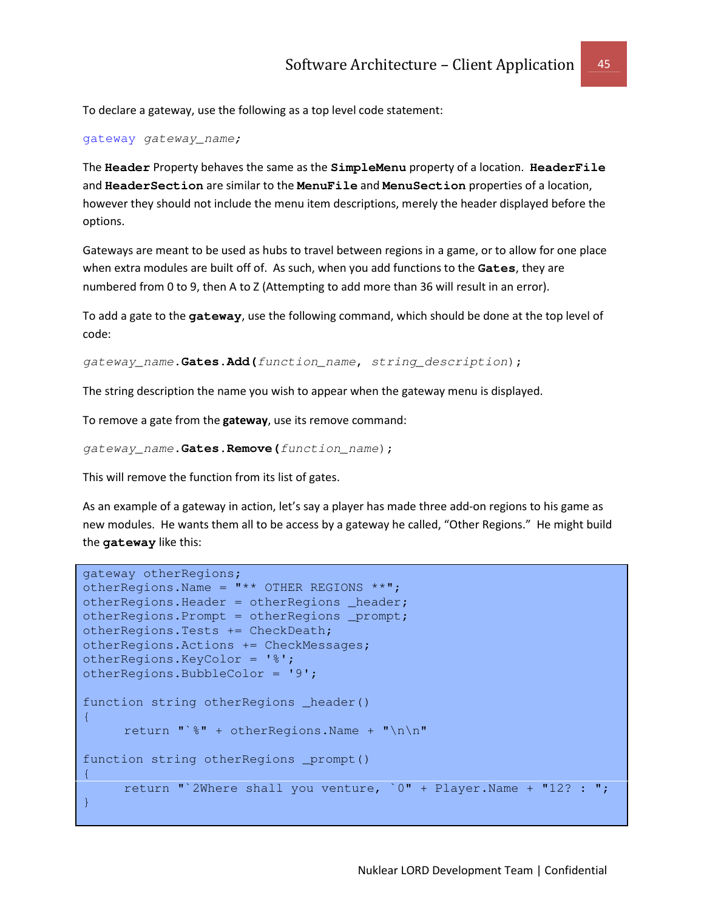To declare a gateway, use the following as a top level code statement:

gateway gateway\_name;

The **Header** Property behaves the same as the **SimpleMenu** property of a location. **HeaderFile** and **HeaderSection** are similar to the **MenuFile** and **MenuSection** properties of a location, however they should not include the menu item descriptions, merely the header displayed before the options.

Gateways are meant to be used as hubs to travel between regions in a game, or to allow for one place when extra modules are built off of. As such, when you add functions to the **Gates**, they are numbered from 0 to 9, then A to Z (Attempting to add more than 36 will result in an error).

To add a gate to the **gateway**, use the following command, which should be done at the top level of code:

gateway\_name**.Gates.Add(**function\_name**,** string\_description);

The string description the name you wish to appear when the gateway menu is displayed.

To remove a gate from the **gateway**, use its remove command:

```
gateway_name.Gates.Remove(function_name);
```
This will remove the function from its list of gates.

As an example of a gateway in action, let's say a player has made three add-on regions to his game as new modules. He wants them all to be access by a gateway he called, "Other Regions." He might build the **gateway** like this:

```
gateway otherRegions; 
otherRegions.Name = *** OTHER REGIONS ***";
otherRegions.Header = otherRegions header;
otherRegions.Prompt = otherRegions _prompt; 
otherRegions.Tests += CheckDeath; 
otherRegions.Actions += CheckMessages; 
otherRegions.KeyColor = '%'; 
otherRegions.BubbleColor = '9'; 
function string otherRegions _header() 
\left\{ \right.return "`%" + otherRegions.Name + "\n\n"
function string otherRegions _prompt() 
{ 
      return "`2Where shall you venture, `0" + Player.Name + "12? : "; 
}
```